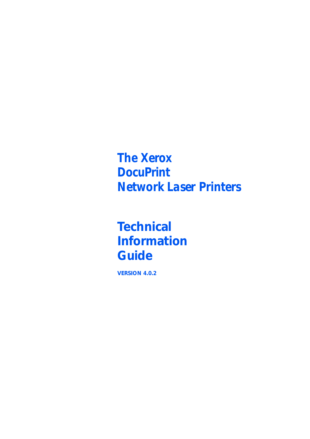*The Xerox DocuPrint Network Laser Printers*

**Technical Information Guide**

**VERSION 4.0.2**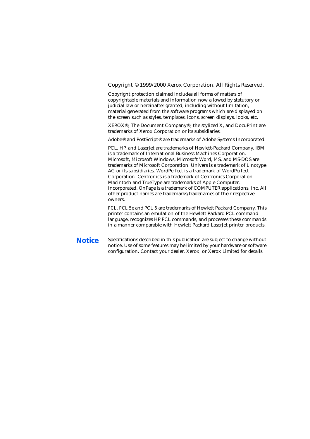Copyright © 1999/2000 Xerox Corporation. All Rights Reserved.

Copyright protection claimed includes all forms of matters of copyrightable materials and information now allowed by statutory or judicial law or hereinafter granted, including without limitation, material generated from the software programs which are displayed on the screen such as styles, templates, icons, screen displays, looks, etc.

XEROX®, The Document Company®, the stylized X, and DocuPrint are trademarks of Xerox Corporation or its subsidiaries.

Adobe® and PostScript® are trademarks of Adobe Systems Incorporated.

PCL, HP, and LaserJet are trademarks of Hewlett-Packard Company. IBM is a trademark of International Business Machines Corporation. Microsoft, Microsoft Windows, Microsoft Word, MS, and MS-DOS are trademarks of Microsoft Corporation. Univers is a trademark of Linotype AG or its subsidiaries. WordPerfect is a trademark of WordPerfect Corporation. Centronics is a trademark of Centronics Corporation. Macintosh and TrueType are trademarks of Apple Computer, Incorporated. OnPage is a trademark of COMPUTER:applications, Inc. All other product names are trademarks/tradenames of their respective owners.

*PCL, PCL 5e* and *PCL 6* are trademarks of Hewlett Packard Company. This printer contains an emulation of the Hewlett Packard PCL command language, recognizes HP PCL commands, and processes these commands in a manner comparable with Hewlett Packard LaserJet printer products.

**Notice** Specifications described in this publication are subject to change without notice. Use of some features may be limited by your hardware or software configuration. Contact your dealer, Xerox, or Xerox Limited for details.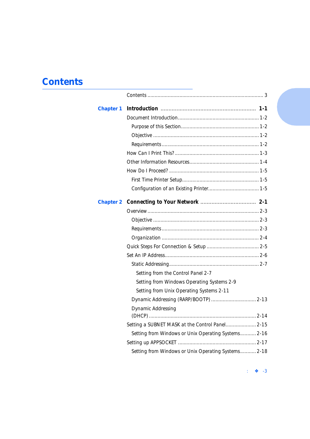# **Contents**

| <b>Chapter 1</b> |                                                     |
|------------------|-----------------------------------------------------|
|                  |                                                     |
|                  |                                                     |
|                  |                                                     |
|                  |                                                     |
|                  |                                                     |
|                  |                                                     |
|                  |                                                     |
|                  |                                                     |
|                  |                                                     |
| <b>Chapter 2</b> |                                                     |
|                  |                                                     |
|                  |                                                     |
|                  |                                                     |
|                  |                                                     |
|                  |                                                     |
|                  |                                                     |
|                  |                                                     |
|                  | Setting from the Control Panel 2-7                  |
|                  | Setting from Windows Operating Systems 2-9          |
|                  | Setting from Unix Operating Systems 2-11            |
|                  |                                                     |
|                  | <b>Dynamic Addressing</b>                           |
|                  |                                                     |
|                  | Setting a SUBNET MASK at the Control Panel 2-15     |
|                  | Setting from Windows or Unix Operating Systems 2-16 |
|                  |                                                     |
|                  | Setting from Windows or Unix Operating Systems 2-18 |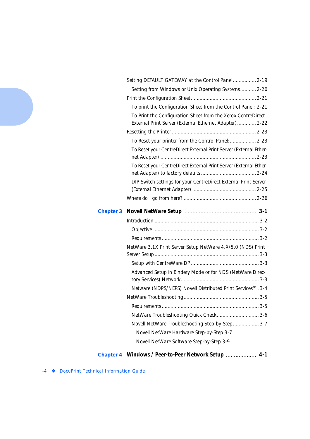|                  | Setting DEFAULT GATEWAY at the Control Panel 2-19                                                                      |
|------------------|------------------------------------------------------------------------------------------------------------------------|
|                  | Setting from Windows or Unix Operating Systems 2-20                                                                    |
|                  |                                                                                                                        |
|                  | To print the Configuration Sheet from the Control Panel: 2-21                                                          |
|                  | To Print the Configuration Sheet from the Xerox CentreDirect<br>External Print Server (External Ethernet Adapter) 2-22 |
|                  |                                                                                                                        |
|                  | To Reset your printer from the Control Panel:  2-23                                                                    |
|                  | To Reset your CentreDirect External Print Server (External Ether-                                                      |
|                  | To Reset your CentreDirect External Print Server (External Ether-                                                      |
|                  | DIP Switch settings for your CentreDirect External Print Server                                                        |
|                  |                                                                                                                        |
| <b>Chapter 3</b> |                                                                                                                        |
|                  |                                                                                                                        |
|                  |                                                                                                                        |
|                  |                                                                                                                        |
|                  | NetWare 3.1X Print Server Setup NetWare 4.X/5.0 (NDS) Print                                                            |
|                  |                                                                                                                        |
|                  | Advanced Setup in Bindery Mode or for NDS (NetWare Direc-                                                              |
|                  | Netware (NDPS/NEPS) Novell Distributed Print Services™. 3-4                                                            |
|                  |                                                                                                                        |
|                  |                                                                                                                        |
|                  | NetWare Troubleshooting Quick Check 3-6                                                                                |
|                  | Novell NetWare Troubleshooting Step-by-Step 3-7                                                                        |
|                  | Novell NetWare Hardware Step-by-Step 3-7                                                                               |
|                  | Novell NetWare Software Step-by-Step 3-9                                                                               |
|                  |                                                                                                                        |

 **Chapter 4** *[Windows / Peer-to-Peer Network Setup](#page-31-0) ................... 4-1*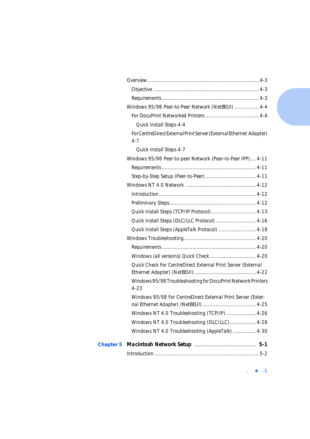|                  | Windows 95/98 Peer-to-Peer Network (NetBEUI)  4-4                             |
|------------------|-------------------------------------------------------------------------------|
|                  |                                                                               |
|                  | Quick Install Steps 4-4                                                       |
|                  | For CentreDirect External Print Server (External Ethernet Adapter)<br>$4 - 7$ |
|                  | Quick Install Steps 4-7                                                       |
|                  | Windows 95/98 Peer-to-peer Network (Peer-ro-Peer IPP) 4-11                    |
|                  |                                                                               |
|                  |                                                                               |
|                  |                                                                               |
|                  |                                                                               |
|                  |                                                                               |
|                  |                                                                               |
|                  | Quick Install Steps (DLC/LLC Protocol)  4-16                                  |
|                  | Quick Install Steps (AppleTalk Protocol)  4-18                                |
|                  |                                                                               |
|                  |                                                                               |
|                  | Windows (all versions) Quick Check 4-20                                       |
|                  | Quick Check For CentreDirect External Print Server (External                  |
|                  | Windows 95/98 Troubleshooting for DocuPrint Network Printers<br>$4 - 23$      |
|                  | Windows 95/98 For CentreDirect External Print Server (Exter-                  |
|                  | Windows NT 4.0 Troubleshooting (TCP/IP) 4-26                                  |
|                  | Windows NT 4.0 Troubleshooting (DLC/LLC) 4-28                                 |
|                  | Windows NT 4.0 Troubleshooting (AppleTalk)  4-30                              |
| <b>Chapter 5</b> |                                                                               |
|                  |                                                                               |
|                  |                                                                               |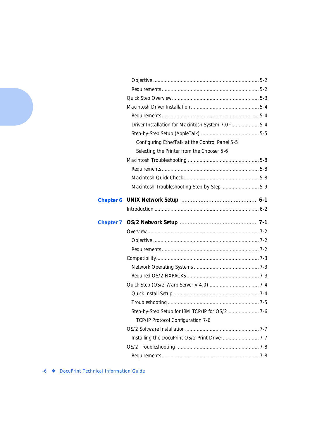| Driver Installation for Macintosh System 7.0+ 5-4 |  |
|---------------------------------------------------|--|
|                                                   |  |
| Configuring EtherTalk at the Control Panel 5-5    |  |
| Selecting the Printer from the Chooser 5-6        |  |
|                                                   |  |
|                                                   |  |
|                                                   |  |
| Macintosh Troubleshooting Step-by-Step 5-9        |  |
|                                                   |  |
|                                                   |  |
|                                                   |  |
|                                                   |  |
|                                                   |  |
|                                                   |  |
|                                                   |  |
|                                                   |  |
|                                                   |  |
|                                                   |  |
|                                                   |  |
|                                                   |  |
|                                                   |  |
| Step-by-Step Setup for IBM TCP/IP for OS/2  7-6   |  |
| TCP/IP Protocol Configuration 7-6                 |  |
|                                                   |  |
|                                                   |  |
|                                                   |  |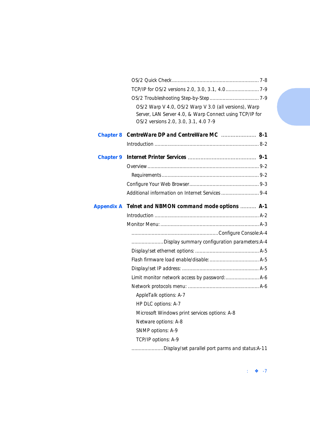|                   | OS/2 Warp V 4.0, OS/2 Warp V 3.0 (all versions), Warp<br>Server, LAN Server 4.0, & Warp Connect using TCP/IP for<br>OS/2 versions 2.0, 3.0, 3.1, 4.0 7-9 |
|-------------------|----------------------------------------------------------------------------------------------------------------------------------------------------------|
| <b>Chapter 8</b>  | CentreWare DP and CentreWare MC  8-1                                                                                                                     |
|                   |                                                                                                                                                          |
| <b>Chapter 9</b>  |                                                                                                                                                          |
|                   |                                                                                                                                                          |
|                   |                                                                                                                                                          |
|                   |                                                                                                                                                          |
|                   | Additional information on Internet Services  9-4                                                                                                         |
| <b>Appendix A</b> | Telnet and NBMON command mode options  A-1                                                                                                               |
|                   |                                                                                                                                                          |
|                   |                                                                                                                                                          |
|                   |                                                                                                                                                          |
|                   | Display summary configuration parameters:A-4                                                                                                             |
|                   |                                                                                                                                                          |
|                   |                                                                                                                                                          |
|                   |                                                                                                                                                          |
|                   |                                                                                                                                                          |
|                   |                                                                                                                                                          |
|                   | AppleTalk options: A-7                                                                                                                                   |
|                   | HP DLC options: A-7                                                                                                                                      |
|                   | Microsoft Windows print services options: A-8                                                                                                            |
|                   | Netware options: A-8                                                                                                                                     |
|                   | SNMP options: A-9                                                                                                                                        |
|                   | TCP/IP options: A-9                                                                                                                                      |
|                   | Display/set parallel port parms and status:A-11                                                                                                          |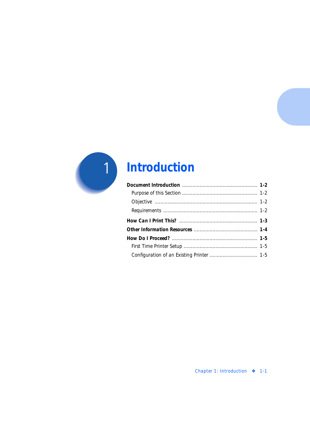

# *Introduction*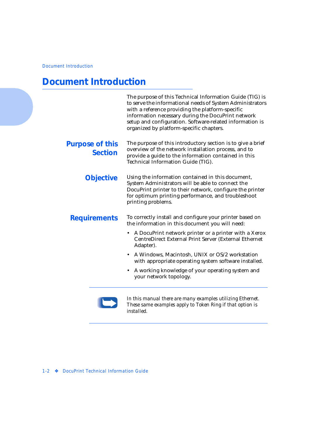# <span id="page-9-0"></span>**Document Introduction**

|                                          | The purpose of this Technical Information Guide (TIG) is<br>to serve the informational needs of System Administrators<br>with a reference providing the platform-specific<br>information necessary during the DocuPrint network<br>setup and configuration. Software-related information is<br>organized by platform-specific chapters. |
|------------------------------------------|-----------------------------------------------------------------------------------------------------------------------------------------------------------------------------------------------------------------------------------------------------------------------------------------------------------------------------------------|
| <b>Purpose of this</b><br><b>Section</b> | The purpose of this introductory section is to give a brief<br>overview of the network installation process, and to<br>provide a guide to the information contained in this<br>Technical Information Guide (TIG).                                                                                                                       |
| <b>Objective</b>                         | Using the information contained in this document,<br>System Administrators will be able to connect the<br>DocuPrint printer to their network, configure the printer<br>for optimum printing performance, and troubleshoot<br>printing problems.                                                                                         |
| <b>Requirements</b>                      | To correctly install and configure your printer based on<br>the information in this document you will need:                                                                                                                                                                                                                             |
|                                          | A DocuPrint network printer or a printer with a Xerox<br>$\bullet$<br>CentreDirect External Print Server (External Ethernet<br>Adapter).                                                                                                                                                                                                |
|                                          | A Windows, Macintosh, UNIX or OS/2 workstation<br>$\bullet$<br>with appropriate operating system software installed.                                                                                                                                                                                                                    |
|                                          | A working knowledge of your operating system and<br>٠<br>your network topology.                                                                                                                                                                                                                                                         |
|                                          | In this manual there are many examples utilizing Ethernet.<br>$\mathbf{r}$ , $\mathbf{r}$ , $\mathbf{r}$ , $\mathbf{r}$ , $\mathbf{r}$ , $\mathbf{r}$                                                                                                                                                                                   |

*These same examples apply to Token Ring if that option is installed.*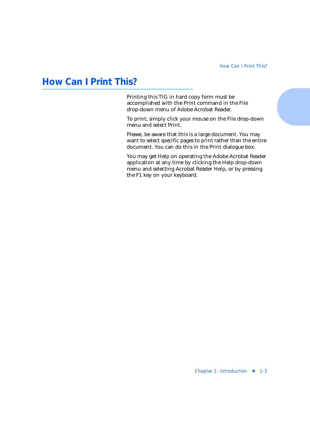## <span id="page-10-0"></span>**How Can I Print This?**

Printing this TIG in hard copy form must be accomplished with the Print command in the File drop-down menu of Adobe Acrobat Reader.

To print, simply click your mouse on the File drop-down menu and select Print.

Please, be aware that this is a large document. You may want to select specific pages to print rather than the entire document. You can do this in the Print dialogue box.

You may get Help on operating the Adobe Acrobat Reader application at any time by clicking the Help drop-down menu and selecting Acrobat Reader Help, or by pressing the F1 key on your keyboard.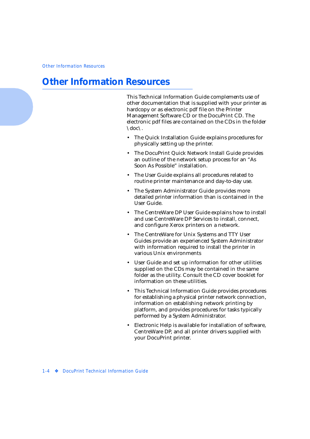## <span id="page-11-0"></span>**Other Information Resources**

This Technical Information Guide complements use of other documentation that is supplied with your printer as hardcopy or as electronic pdf file on the Printer Management Software CD or the DocuPrint CD. The electronic pdf files are contained on the CDs in the folder  $\dot{\alpha}$ .

- The Quick Installation Guide explains procedures for physically setting up the printer.
- The DocuPrint Quick Network Install Guide provides an outline of the network setup process for an "As Soon As Possible" installation.
- The User Guide explains all procedures related to routine printer maintenance and day-to-day use.
- The System Administrator Guide provides more detailed printer information than is contained in the User Guide.
- The CentreWare DP User Guide explains how to install and use CentreWare DP Services to install, connect, and configure Xerox printers on a network.
- The CentreWare for Unix Systems and TTY User Guides provide an experienced System Administrator with information required to install the printer in various Unix environments
- User Guide and set up information for other utilities supplied on the CDs may be contained in the same folder as the utility. Consult the CD cover booklet for information on these utilities.
- This Technical Information Guide provides procedures for establishing a physical printer network connection, information on establishing network printing by platform, and provides procedures for tasks typically performed by a System Administrator.
- Electronic Help is available for installation of software, CentreWare DP, and all printer drivers supplied with your DocuPrint printer.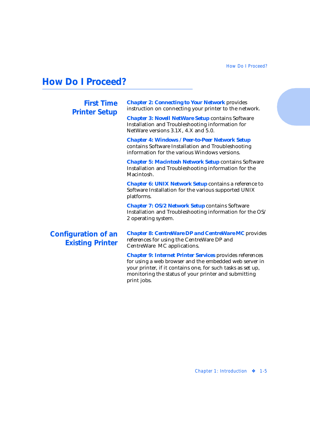### <span id="page-12-0"></span>**How Do I Proceed?**

#### **First Time Printer Setup**

*[Chapter 2: Connecting to Your Networ](#page-14-0)k* provides instruction on connecting your printer to the network.

*[Chapter 3: Novell NetWare Setu](#page-40-0)p* contains Software Installation and Troubleshooting information for NetWare versions 3.1X, 4.X and 5.0.

*[Chapter 4: Windows / Peer-to-Peer Network Setu](#page-52-0)p* contains Software Installation and Troubleshooting information for the various Windows versions.

*[Chapter 5: Macintosh Network Setu](#page-84-0)p* contains Software Installation and Troubleshooting information for the Macintosh.

*[Chapter 6: UNIX Network Setu](#page-94-0)p* contains a reference to Software Installation for the various supported UNIX platforms.

*[Chapter 7: OS/2 Network Setu](#page-96-0)p* contains Software Installation and Troubleshooting information for the OS/ 2 operating system.

#### **Configuration of an Existing Printer**

*[Chapter 8: CentreWare DP and CentreWare M](#page-106-0)C* provides references for using the CentreWare DP and CentreWare MC applications.

*[Chapter 9: Internet Printer Service](#page-108-0)s* provides references for using a web browser and the embedded web server in your printer, if it contains one, for such tasks as set up, monitoring the status of your printer and submitting print jobs.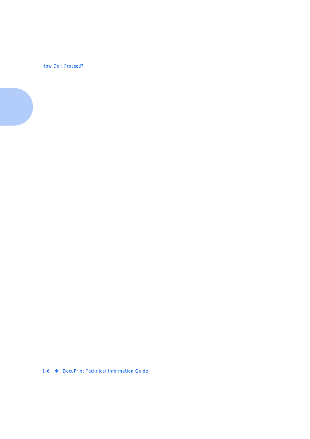*How Do I Proceed?*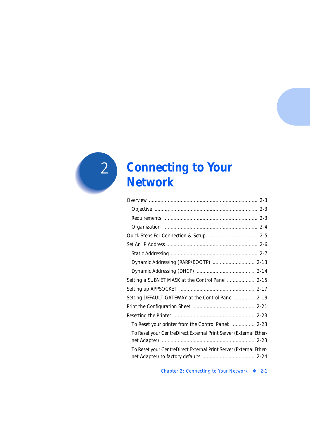<span id="page-14-0"></span>

# *Connecting to Your*   $Network$

| Dynamic Addressing (RARP/BOOTP)  2-13                             |
|-------------------------------------------------------------------|
|                                                                   |
| Setting a SUBNET MASK at the Control Panel  2-15                  |
|                                                                   |
| Setting DEFAULT GATEWAY at the Control Panel  2-19                |
|                                                                   |
|                                                                   |
| To Reset your printer from the Control Panel:  2-23               |
| To Reset your CentreDirect External Print Server (External Ether- |
|                                                                   |
| To Reset your CentreDirect External Print Server (External Ether- |
|                                                                   |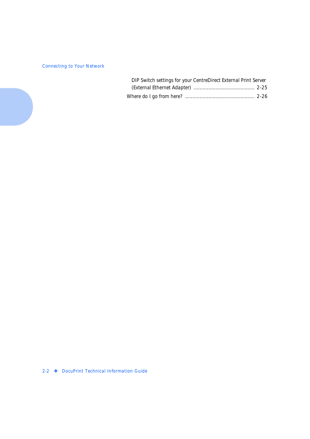| DIP Switch settings for your CentreDirect External Print Server |  |
|-----------------------------------------------------------------|--|
|                                                                 |  |
|                                                                 |  |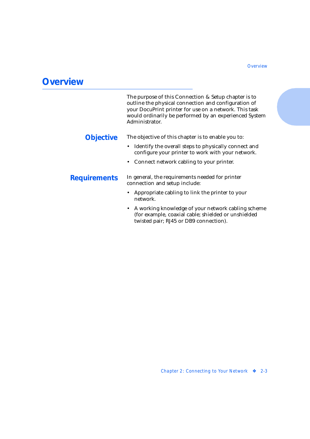## <span id="page-16-0"></span>**Overview**

The purpose of this Connection & Setup chapter is to outline the physical connection and configuration of your DocuPrint printer for use on a network. This task would ordinarily be performed by an experienced System Administrator.

#### **Objective** The objective of this chapter is to enable you to:

- Identify the overall steps to physically connect and configure your printer to work with your network.
- Connect network cabling to your printer.

**Requirements** In general, the requirements needed for printer connection and setup include:

- Appropriate cabling to link the printer to your network.
- A working knowledge of your network cabling scheme (for example, coaxial cable; shielded or unshielded twisted pair; RJ45 or DB9 connection).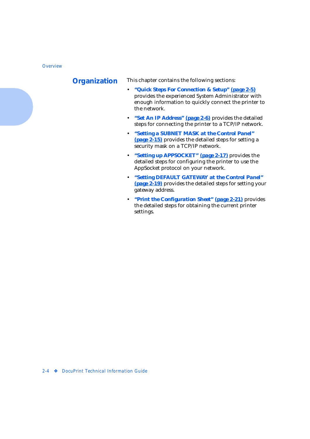<span id="page-17-0"></span>**Organization** This chapter contains the following sections:

- *["Quick Steps For Connection & Setup" \(page 2-](#page-18-0)5)* provides the experienced System Administrator with enough information to quickly connect the printer to the network.
- *["Set An IP Address" \(page 2-6](#page-19-0))* provides the detailed steps for connecting the printer to a TCP/IP network.
- *["Setting a SUBNET MASK at the Control Panel"](#page-28-0)  [\(page 2-15\)](#page-28-0)* provides the detailed steps for setting a security mask on a TCP/IP network.
- *["Setting up APPSOCKET" \(page 2-17](#page-30-0))* provides the detailed steps for configuring the printer to use the AppSocket protocol on your network.
- *["Setting DEFAULT GATEWAY at the Control Panel"](#page-32-0)  [\(page 2-19\)](#page-32-0)* provides the detailed steps for setting your gateway address.
- *["Print the Configuration Sheet" \(page 2-21](#page-34-0))* provides the detailed steps for obtaining the current printer settings.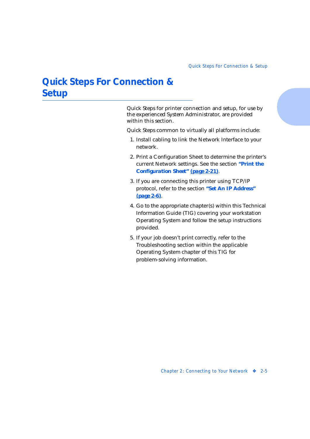## <span id="page-18-0"></span>**Quick Steps For Connection & Setup**

Quick Steps for printer connection and setup, for use by the experienced System Administrator, are provided within this section.

Quick Steps common to virtually all platforms include:

- 1. Install cabling to link the Network Interface to your network.
- 2. Print a Configuration Sheet to determine the printer's current Network settings. See the section *["Print the](#page-34-0)  [Configuration Sheet" \(page 2-21](#page-34-0))*.
- 3. If you are connecting this printer using TCP/IP protocol, refer to the section *["Set An IP Address"](#page-19-0)  [\(page 2-6\)](#page-19-0)*.
- 4. Go to the appropriate chapter(s) within this Technical Information Guide (TIG) covering your workstation Operating System and follow the setup instructions provided.
- 5. If your job doesn't print correctly, refer to the Troubleshooting section within the applicable Operating System chapter of this TIG for problem-solving information.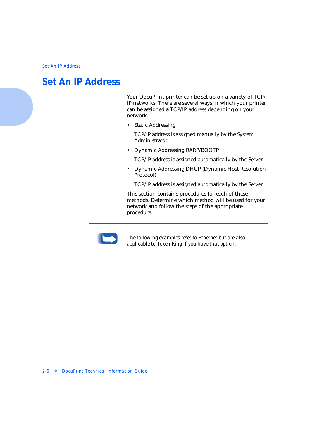# <span id="page-19-0"></span>**Set An IP Address**

Your DocuPrint printer can be set up on a variety of TCP/ IP networks. There are several ways in which your printer can be assigned a TCP/IP address depending on your network.

• Static Addressing

TCP/IP address is assigned manually by the System Administrator.

• Dynamic Addressing RARP/BOOTP

TCP/IP address is assigned automatically by the Server.

• Dynamic Addressing DHCP (Dynamic Host Resolution Protocol)

TCP/IP address is assigned automatically by the Server.

This section contains procedures for each of these methods. Determine which method will be used for your network and follow the steps of the appropriate procedure.



*The following examples refer to Ethernet but are also applicable to Token Ring if you have that option.*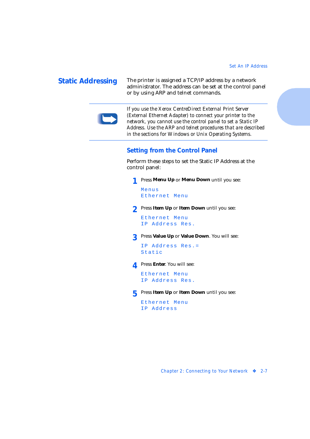<span id="page-20-0"></span>**Static Addressing** The printer is assigned a TCP/IP address by a network administrator. The address can be set at the control panel or by using ARP and telnet commands.



*If you use the Xerox CentreDirect External Print Server (External Ethernet Adapter) to connect your printer to the network, you cannot use the control panel to set a Static IP Address. Use the ARP and telnet procedures that are described in the sections for Windows or Unix Operating Systems.*

#### **Setting from the Control Panel**

Perform these steps to set the Static IP Address at the control panel:

**1** Press **Menu Up** or **Menu Down** until you see:

Menus Ethernet Menu

**2** Press **Item Up** or **Item Down** until you see:

Ethernet Menu IP Address Res.

**3** Press **Value Up** or **Value Down**. You will see:

IP Address Res.= Static

**4** Press **Enter**. You will see:

Ethernet Menu IP Address Res.

**5** Press **Item Up** or **Item Down** until you see:

```
Ethernet Menu
IP Address
```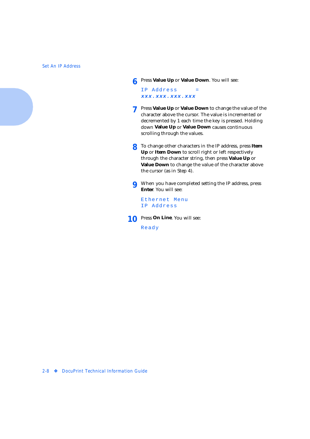**6** Press **Value Up** or **Value Down**. You will see:

IP Address = **xxx.xxx.xxx.xxx**

- **7** Press **Value Up** or **Value Down** to change the value of the character above the cursor. The value is incremented or decremented by 1 each time the key is pressed. Holding down **Value Up** or **Value Down** causes continuous scrolling through the values.
- **8** To change other characters in the IP address, press **Item Up** or **Item Down** to scroll right or left respectively through the character string, then press **Value Up** or **Value Down** to change the value of the character above the cursor (as in Step 4).
- **9** When you have completed setting the IP address, press **Enter**. You will see:

Ethernet Menu IP Address

**10** Press **On Line**. You will see: Ready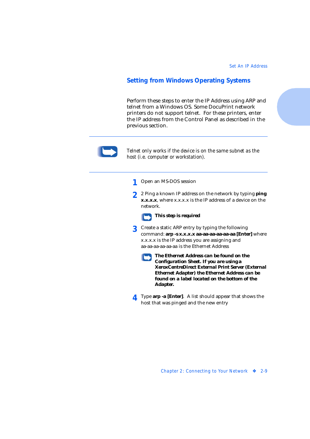#### <span id="page-22-0"></span>**Setting from Windows Operating Systems**

Perform these steps to enter the IP Address using ARP and telnet from a Windows OS. Some DocuPrint network printers do not support telnet. For these printers, enter the IP address from the Control Panel as described in the previous section.



*Telnet only works if the device is on the same subnet as the host (i.e. computer or workstation).*

- **1** Open an MS-DOS session
- **2** 2 Ping a known IP address on the network by typing **ping x.x.x.x**, where x.x.x.x is the IP address of a device on the network.



- **3** Create a static ARP entry by typing the following command: **arp -s x.x.x.x aa-aa-aa-aa-aa-aa [Enter]** where x.x.x.x is the IP address you are assigning and aa-aa-aa-aa-aa-aa is the Ethernet Address
	- *The Ethernet Address can be found on the Configuration Sheet. If you are using a XeroxCentreDirect External Print Server (External Ethernet Adapter) the Ethernet Address can be found on a label located on the bottom of the Adapter.*
- **4** Type **arp -a [Enter]**. A list should appear that shows the host that was pinged and the new entry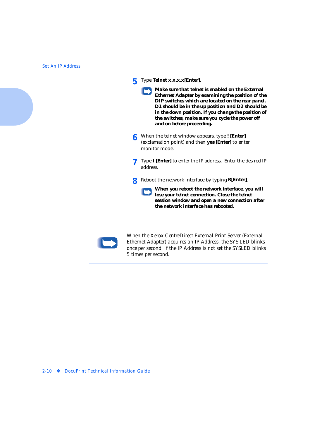**5** Type **Telnet x.x.x.x[Enter]**.

*Make sure that telnet is enabled on the External Ethernet Adapter by examining the position of the DIP switches which are located on the rear panel. D1 should be in the up position and D2 should be in the down position. If you change the position of the switches, make sure you cycle the power off and on before proceeding.*

- **6** When the telnet window appears, type **! [Enter]**  (exclamation point) and then **yes [Enter]** to enter monitor mode.
- **7** Type **I [Enter]** to enter the IP address. Enter the desired IP address.
- **8** Reboot the network interface by typing **R[Enter]**.

*When you reboot the network interface, you will lose your telnet connection. Close the telnet session window and open a new connection after the network interface has rebooted.*



*When the Xerox CentreDirect External Print Server (External Ethernet Adapter) acquires an IP Address, the SYS LED blinks once per second. If the IP Address is not set the SYSLED blinks 5 times per second.*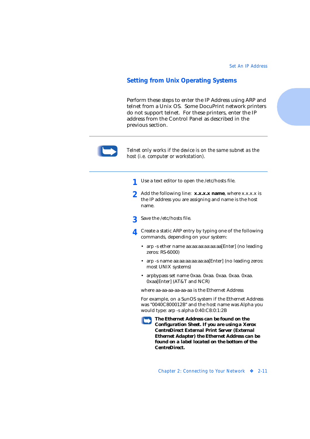#### <span id="page-24-0"></span>**Setting from Unix Operating Systems**

Perform these steps to enter the IP Address using ARP and telnet from a Unix OS. Some DocuPrint network printers do not support telnet. For these printers, enter the IP address from the Control Panel as described in the previous section.



*Telnet only works if the device is on the same subnet as the host (i.e. computer or workstation).*

- Use a text editor to open the /etc/hosts file.
- **2** Add the following line: **x.x.x.x name**, where x.x.x.x is the IP address you are assigning and name is the host name.
- **3** Save the /etc/hosts file.
- **4** Create a static ARP entry by typing one of the following commands, depending on your system:
	- arp -s ether name aa:aa:aa:aa:aa:aa[Enter] (no leading zeros: RS-6000)
	- arp -s name aa:aa:aa:aa:aa:aa[Enter] (no leading zeros: most UNIX systems)
	- arpbypass set name 0xaa. 0xaa. 0xaa. 0xaa. 0xaa. 0xaa[Enter] (AT&T and NCR)

where aa-aa-aa-aa-aa-aa is the Ethernet Address

For example, on a SunOS system if the Ethernet Address was "0040C800012B" and the host name was Alpha you would type: arp -s alpha 0:40:C8:0:1:2B

*The Ethernet Address can be found on the Configuration Sheet. If you are using a Xerox CentreDirect External Print Server (External Ethernet Adapter) the Ethernet Address can be found on a label located on the bottom of the CentreDirect.*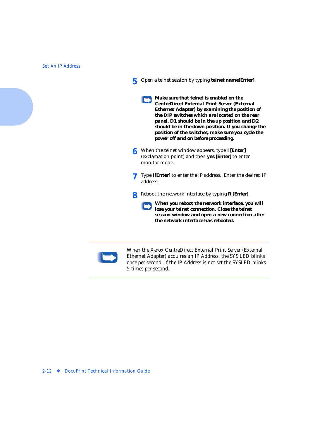**5** Open a telnet session by typing **telnet name[Enter]**.

*Make sure that telnet is enabled on the CentreDirect External Print Server (External Ethernet Adapter) by examining the position of the DIP switches which are located on the rear panel. D1 should be in the up position and D2 should be in the down position. If you change the position of the switches, make sure you cycle the power off and on before proceeding.*

- **6** When the telnet window appears, type **! [Enter]**  (exclamation point) and then **yes [Enter]** to enter monitor mode.
- **7** Type **I[Enter]** to enter the IP address. Enter the desired IP address.
- **8** Reboot the network interface by typing **R [Enter]**.

*When you reboot the network interface, you will lose your telnet connection. Close the telnet session window and open a new connection after the network interface has rebooted.*



*When the Xerox CentreDirect External Print Server (External Ethernet Adapter) acquires an IP Address, the SYS LED blinks once per second. If the IP Address is not set the SYSLED blinks 5 times per second.*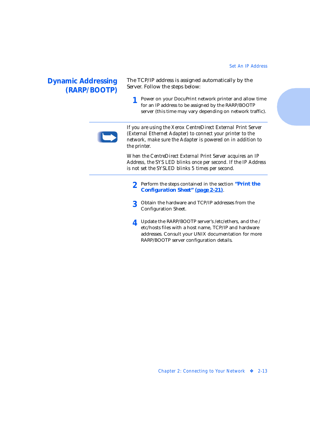#### <span id="page-26-0"></span>**Dynamic Addressing (RARP/BOOTP)**

The TCP/IP address is assigned automatically by the Server. Follow the steps below:

**1** Power on your DocuPrint network printer and allow time for an IP address to be assigned by the RARP/BOOTP server (this time may vary depending on network traffic).

*If you are using the Xerox CentreDirect External Print Server (External Ethernet Adapter) to connect your printer to the network, make sure the Adapter is powered on in addition to the printer.*

*When the CentreDirect External Print Server acquires an IP Address, the SYS LED blinks once per second. If the IP Address is not set the SYSLED blinks 5 times per second.*

- **2** Perform the steps contained in the section *["Print the](#page-34-0)  [Configuration Sheet" \(page 2-21](#page-34-0))*.
- **3** Obtain the hardware and TCP/IP addresses from the Configuration Sheet.
- **4** Update the RARP/BOOTP server's /etc/ethers, and the / etc/hosts files with a host name, TCP/IP and hardware addresses. Consult your UNIX documentation for more RARP/BOOTP server configuration details.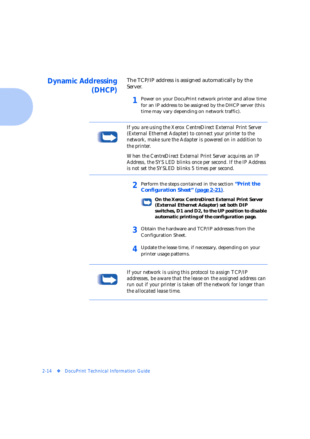#### <span id="page-27-0"></span>**Dynamic Addressing (DHCP)**

The TCP/IP address is assigned automatically by the Server.

**1** Power on your DocuPrint network printer and allow time for an IP address to be assigned by the DHCP server (this time may vary depending on network traffic).



*If you are using the Xerox CentreDirect External Print Server (External Ethernet Adapter) to connect your printer to the network, make sure the Adapter is powered on in addition to the printer.*

*When the CentreDirect External Print Server acquires an IP Address, the SYS LED blinks once per second. If the IP Address is not set the SYSLED blinks 5 times per second.*

- **2** Perform the steps contained in the section *["Print the](#page-34-0)  [Configuration Sheet" \(page 2-21](#page-34-0))*.
	- *On the Xerox CentreDirect External Print Server (External Ethernet Adapter) set both DIP switches, D1 and D2, to the UP position to disable automatic printing of the configuration page.*
- **3** Obtain the hardware and TCP/IP addresses from the Configuration Sheet.
- **4** Update the lease time, if necessary, depending on your printer usage patterns.



*If your network is using this protocol to assign TCP/IP addresses, be aware that the lease on the assigned address can run out if your printer is taken off the network for longer than the allocated lease time.*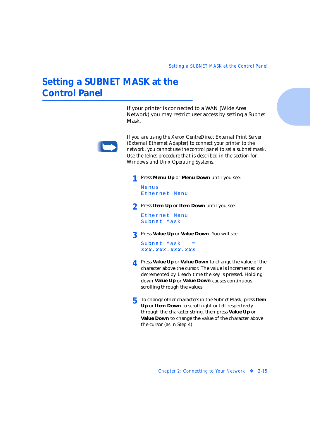## <span id="page-28-0"></span>**Setting a SUBNET MASK at the Control Panel**

If your printer is connected to a WAN (Wide Area Network) you may restrict user access by setting a Subnet Mask.



*If you are using the Xerox CentreDirect External Print Server (External Ethernet Adapter) to connect your printer to the network, you cannot use the control panel to set a subnet mask. Use the telnet procedure that is described in the section for Windows and Unix Operating Systems.*

**1** Press **Menu Up** or **Menu Down** until you see:

```
Menus
Ethernet Menu
```
**2** Press **Item Up** or **Item Down** until you see:

Ethernet Menu Subnet Mask

**3** Press **Value Up** or **Value Down**. You will see:

Subnet Mask = **xxx.xxx.xxx.xxx**

- **4** Press **Value Up** or **Value Down** to change the value of the character above the cursor. The value is incremented or decremented by 1 each time the key is pressed. Holding down **Value Up** or **Value Down** causes continuous scrolling through the values.
- **5** To change other characters in the Subnet Mask, press **Item Up** or **Item Down** to scroll right or left respectively through the character string, then press **Value Up** or **Value Down** to change the value of the character above the cursor (as in Step 4).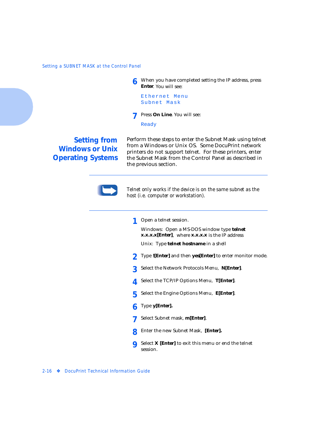**6** When you have completed setting the IP address, press **Enter**. You will see:

```
Ethernet Menu
Subnet Mask
```
**7** Press **On Line**. You will see:

Ready

<span id="page-29-0"></span>**Setting from Windows or Unix Operating Systems** Perform these steps to enter the Subnet Mask using telnet from a Windows or Unix OS. Some DocuPrint network printers do not support telnet. For these printers, enter the Subnet Mask from the Control Panel as described in the previous section.



*Telnet only works if the device is on the same subnet as the host (i.e. computer or workstation).*

**1** Open a telnet session.

Windows: Open a MS-DOS window type **telnet x.x.x.x[Enter]**, where **x.x.x.x** is the IP address

Unix: Type **telnet hostname** in a shell

- **2** Type **![Enter]** and then **yes[Enter]** to enter monitor mode.
- **3** Select the Network Protocols Menu, **N[Enter]**.
- **4** Select the TCP/IP Options Menu, **T[Enter]**.
- **5** Select the Engine Options Menu, **E[Enter]**.
- **6** Type **y[Enter].**
- **7** Select Subnet mask, **m[Enter]**.
- **8** Enter the new Subnet Mask, **[Enter].**
- **9** Select **X [Enter]** to exit this menu or end the telnet session.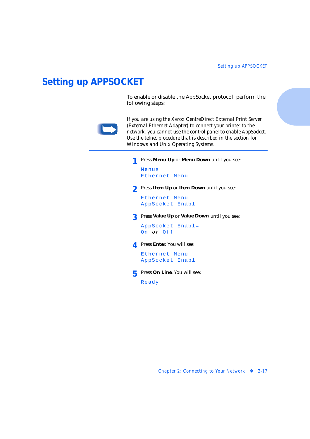# <span id="page-30-0"></span>**Setting up APPSOCKET**

To enable or disable the AppSocket protocol, perform the following steps:



*If you are using the Xerox CentreDirect External Print Server (External Ethernet Adapter) to connect your printer to the network, you cannot use the control panel to enable AppSocket. Use the telnet procedure that is described in the section for Windows and Unix Operating Systems.*

**1** Press **Menu Up** or **Menu Down** until you see:

```
Menus
Ethernet Menu
```
**2** Press **Item Up** or **Item Down** until you see:

Ethernet Menu AppSocket Enabl

**3** Press **Value Up** or **Value Down** until you see:

AppSocket Enabl= On or Off

**4** Press **Enter**. You will see:

Ethernet Menu AppSocket Enabl

**5** Press **On Line**. You will see:

Ready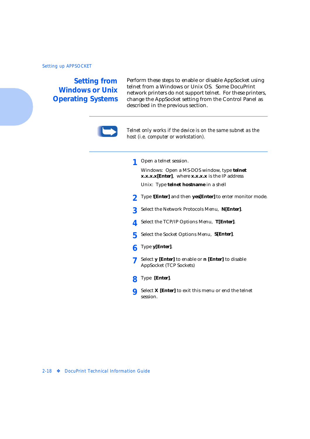<span id="page-31-0"></span>**Setting from Windows or Unix Operating Systems** Perform these steps to enable or disable AppSocket using telnet from a Windows or Unix OS. Some DocuPrint network printers do not support telnet. For these printers, change the AppSocket setting from the Control Panel as described in the previous section.



*Telnet only works if the device is on the same subnet as the host (i.e. computer or workstation).*

**1** Open a telnet session.

Windows: Open a MS-DOS window, type **telnet x.x.x.x[Enter]**, where **x.x.x.x** is the IP address

Unix: Type **telnet hostname** in a shell

- **2** Type **![Enter]** and then **yes[Enter]** to enter monitor mode.
- **3** Select the Network Protocols Menu, **N[Enter]**.
- **4** Select the TCP/IP Options Menu, **T[Enter]**.
- **5** Select the Socket Options Menu, **S[Enter]**.
- **6** Type **y[Enter]**.
- **7** Select **y [Enter]** to enable or **n [Enter]** to disable AppSocket (TCP Sockets)
- **8** Type **[Enter]**.
- **9** Select **X [Enter]** to exit this menu or end the telnet session.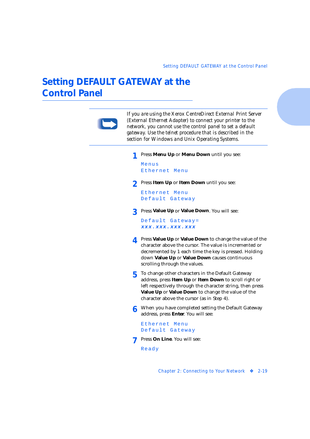# <span id="page-32-0"></span>**Setting DEFAULT GATEWAY at the Control Panel**

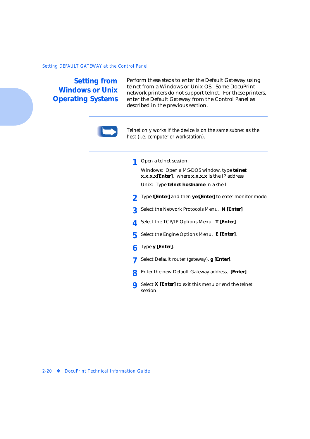<span id="page-33-0"></span>**Setting from Windows or Unix Operating Systems**

Perform these steps to enter the Default Gateway using telnet from a Windows or Unix OS. Some DocuPrint network printers do not support telnet. For these printers, enter the Default Gateway from the Control Panel as described in the previous section.



*Telnet only works if the device is on the same subnet as the host (i.e. computer or workstation).*

**1** Open a telnet session.

Windows: Open a MS-DOS window, type **telnet x.x.x.x[Enter]**, where **x.x.x.x** is the IP address

Unix: Type **telnet hostname** in a shell

- **2** Type **![Enter]** and then **yes[Enter]** to enter monitor mode.
- **3** Select the Network Protocols Menu, **N [Enter]**.
- **4** Select the TCP/IP Options Menu, **T [Enter]**.
- **5** Select the Engine Options Menu, **E [Enter]**.
- **6** Type **y [Enter]**.
- **7** Select Default router (gateway), **g [Enter]**.
- **8** Enter the new Default Gateway address, **[Enter]**.
- **9** Select **X [Enter]** to exit this menu or end the telnet session.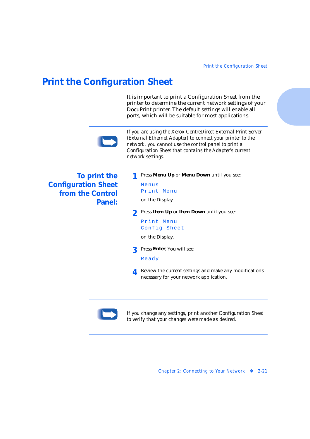# <span id="page-34-0"></span>**Print the Configuration Sheet**

It is important to print a Configuration Sheet from the printer to determine the current network settings of your DocuPrint printer. The default settings will enable all ports, which will be suitable for most applications.



*If you are using the Xerox CentreDirect External Print Server (External Ethernet Adapter) to connect your printer to the network, you cannot use the control panel to print a Configuration Sheet that contains the Adapter's current network settings.*

**To print the Configuration Sheet from the Control Panel:** **1** Press **Menu Up** or **Menu Down** until you see:

```
Menus
Print Menu
```
on the Display.

- **2** Press **Item Up** or **Item Down** until you see:
	- Print Menu Config Sheet

on the Display.

**3** Press **Enter**. You will see:

Ready

**4** Review the current settings and make any modifications necessary for your network application.



*If you change any settings, print another Configuration Sheet to verify that your changes were made as desired.*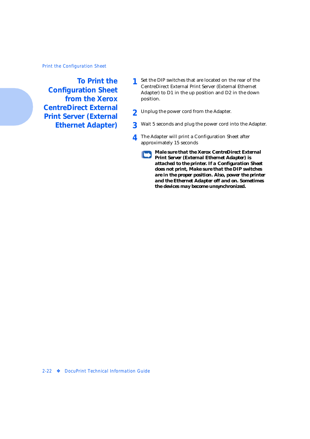#### <span id="page-35-0"></span>*Print the Configuration Sheet*

**To Print the Configuration Sheet from the Xerox CentreDirect External Print Server (External Ethernet Adapter)**

- **1** Set the DIP switches that are located on the rear of the CentreDirect External Print Server (External Ethernet Adapter) to D1 in the up position and D2 in the down position.
- **2** Unplug the power cord from the Adapter.
- **3** Wait 5 seconds and plug the power cord into the Adapter.
- **4** The Adapter will print a Configuration Sheet after approximately 15 seconds

*Male sure that the Xerox CentreDirect External Print Server (External Ethernet Adapter) is attached to the printer. If a Configuration Sheet does not print, Make sure that the DIP switches are in the proper position. Also, power the printer and the Ethernet Adapter off and on. Sometimes the devices may become unsynchronized.*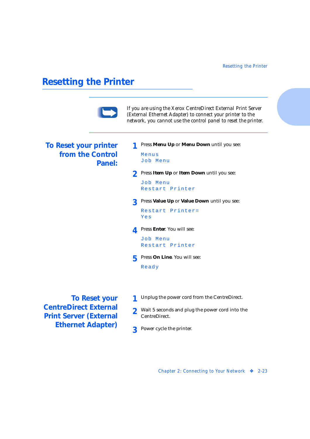# **Resetting the Printer**



*If you are using the Xerox CentreDirect External Print Server (External Ethernet Adapter) to connect your printer to the network, you cannot use the control panel to reset the printer.*

**To Reset your printer from the Control Panel:**

- **1** Press **Menu Up** or **Menu Down** until you see: Menus Job Menu
- **2** Press **Item Up** or **Item Down** until you see:

```
Job Menu
Restart Printer
```
**3** Press **Value Up** or **Value Down** until you see:

```
Restart Printer=
Yes
```
**4** Press **Enter**. You will see:

Job Menu Restart Printer

**5** Press **On Line**. You will see:

Ready

**To Reset your CentreDirect External Print Server (External Ethernet Adapter)**

- **1** Unplug the power cord from the CentreDirect.
- **2** Wait 5 seconds and plug the power cord into the CentreDirect.
- **3** Power cycle the printer.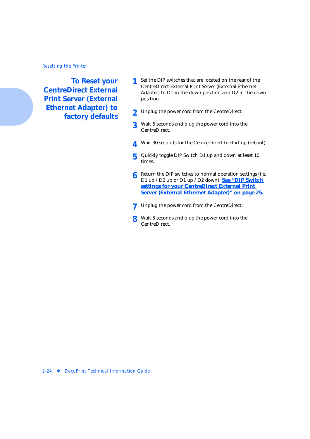**To Reset your CentreDirect External Print Server (External Ethernet Adapter) to factory defaults**

- **1** Set the DIP switches that are located on the rear of the CentreDirect External Print Server (External Ethernet Adapter) to D1 in the down position and D2 in the down position.
- **2** Unplug the power cord from the CentreDirect.
- **3** Wait 5 seconds and plug the power cord into the CentreDirect.
- **4** Wait 30 seconds for the Centre|Direct to start up (reboot).
- **5** Quickly toggle DIP Switch D1 up and down at least 10 times.
- **6** Return the DIP switches to normal operation settings (i.e. D1 up / D2 up or D1 up / D2 down). **[See "DIP Switch](#page-38-0)  [settings for your CentreDirect External Print](#page-38-0)  [Server \(External Ethernet Adapter\)" on page 25](#page-38-0).**
- **7** Unplug the power cord from the CentreDirect.
- **8** Wait 5 seconds and plug the power cord into the CentreDirect.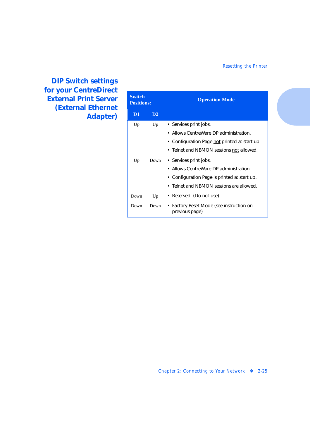<span id="page-38-0"></span>**DIP Switch settings for your CentreDirect External Print Server (External Ethernet Adapter)**

| <b>Switch</b><br><b>Positions:</b> |                | <b>Operation Mode</b>                                    |
|------------------------------------|----------------|----------------------------------------------------------|
| D <sub>1</sub>                     | D <sub>2</sub> |                                                          |
| Up                                 | Up             | • Services print jobs.                                   |
|                                    |                | Allows CentreWare DP administration.                     |
|                                    |                | • Configuration Page not printed at start up.            |
|                                    |                | Telnet and NBMON sessions not allowed.                   |
| Up                                 | Down           | • Services print jobs.                                   |
|                                    |                | Allows CentreWare DP administration.                     |
|                                    |                | • Configuration Page is printed at start up.             |
|                                    |                | Telnet and NBMON sessions are allowed.                   |
| Down                               | Up             | • Reserved. (Do not use)                                 |
| Down                               | Down           | Factory Reset Mode (see instruction on<br>previous page) |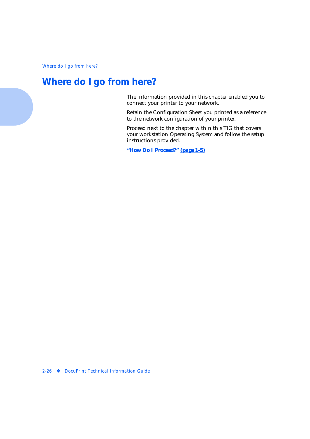*Where do I go from here?*

# **Where do I go from here?**

The information provided in this chapter enabled you to connect your printer to your network.

Retain the Configuration Sheet you printed as a reference to the network configuration of your printer.

Proceed next to the chapter within this TIG that covers your workstation Operating System and follow the setup instructions provided.

*["How Do I Proceed?" \(page 1-5](#page-12-0))*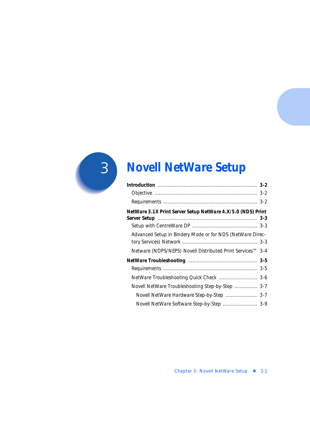

# **Novell NetWare Setup**

| NetWare 3.1X Print Server Setup NetWare 4.X/5.0 (NDS) Print |         |
|-------------------------------------------------------------|---------|
|                                                             |         |
| Advanced Setup in Bindery Mode or for NDS (NetWare Direc-   |         |
| Netware (NDPS/NEPS) Novell Distributed Print Services™ 3-4  |         |
|                                                             |         |
|                                                             |         |
| NetWare Troubleshooting Quick Check  3-6                    |         |
| Novell NetWare Troubleshooting Step-by-Step                 | $3 - 7$ |
| Novell NetWare Hardware Step-by-Step                        | $3 - 7$ |
| Novell NetWare Software Step-by-Step  3-9                   |         |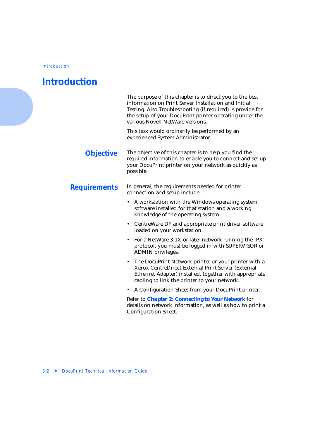# <span id="page-41-0"></span>**Introduction**

The purpose of this chapter is to direct you to the best information on Print Server Installation and Initial Testing. Also Troubleshooting (if required) is provide for the setup of your DocuPrint printer operating under the various Novell NetWare versions.

This task would ordinarily be performed by an experienced System Administrator.

**Objective** The objective of this chapter is to help you find the required information to enable you to connect and set up your DocuPrint printer on your network as quickly as possible.

#### **Requirements** In general, the requirements needed for printer connection and setup include:

- A workstation with the Windows operating system software installed for that station and a working knowledge of the operating system.
- CentreWare DP and appropriate print driver software loaded on your workstation.
- For a NetWare 3.1X or later network running the IPX protocol, you must be logged in with SUPERVISOR or ADMIN privileges.
- The DocuPrint Network printer or your printer with a Xerox CentreDirect External Print Server (External Ethernet Adapter) installed, together with appropriate cabling to link the printer to your network.
- A Configuration Sheet from your DocuPrint printer.

Refer to *[Chapter 2: Connecting to Your Networ](#page-14-0)k* for details on network information, as well as how to print a Configuration Sheet.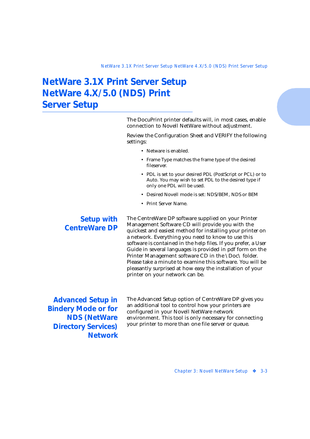# <span id="page-42-0"></span>**NetWare 3.1X Print Server Setup NetWare 4.X/5.0 (NDS) Print Server Setup**

The DocuPrint printer defaults will, in most cases, enable connection to Novell NetWare without adjustment.

Review the Configuration Sheet and VERIFY the following settings:

- Netware is enabled.
- Frame Type matches the frame type of the desired fileserver.
- PDL is set to your desired PDL (PostScript or PCL) or to Auto. You may wish to set PDL to the desired type if only one PDL will be used.
- Desired Novell mode is set: NDS/BEM, NDS or BEM
- Print Server Name.

### **Setup with CentreWare DP**

The CentreWare DP software supplied on your Printer Management Software CD will provide you with the quickest and easiest method for installing your printer on a network. Everything you need to know to use this software is contained in the help files. If you prefer, a User Guide in several languages is provided in pdf form on the Printer Management software CD in the \Doc\ folder. Please take a minute to examine this software. You will be pleasantly surprised at how easy the installation of your printer on your network can be.

**Advanced Setup in Bindery Mode or for NDS (NetWare Directory Services) Network** The Advanced Setup option of CentreWare DP gives you an additional tool to control how your printers are configured in your Novell NetWare network environment. This tool is only necessary for connecting your printer to more than one file server or queue.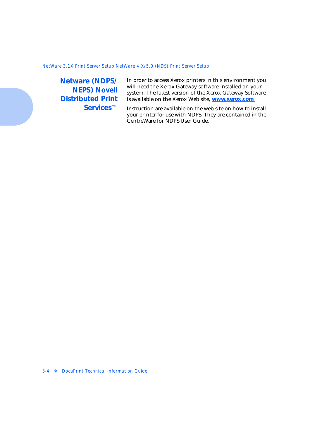### <span id="page-43-0"></span>**Netware (NDPS/ NEPS) Novell Distributed Print Services**™

In order to access Xerox printers in this environment you will need the Xerox Gateway software installed on your system. The latest version of the Xerox Gateway Software is available on the Xerox Web sit[e](http://www.xerox.com), **[www.xerox.com](http://www.xerox.com)** 

Instruction are available on the web site on how to install your printer for use with NDPS. They are contained in the CentreWare for NDPS User Guide.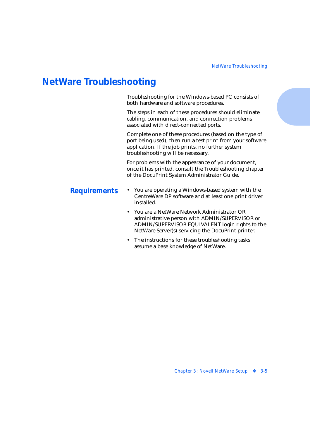# <span id="page-44-0"></span>**NetWare Troubleshooting**

Troubleshooting for the Windows-based PC consists of both hardware and software procedures.

The steps in each of these procedures should eliminate cabling, communication, and connection problems associated with direct-connected ports.

Complete one of these procedures (based on the type of port being used), then run a test print from your software application. If the job prints, no further system troubleshooting will be necessary.

For problems with the appearance of your document, once it has printed, consult the Troubleshooting chapter of the DocuPrint System Administrator Guide.

- **Requirements** You are operating a Windows-based system with the CentreWare DP software and at least one print driver installed.
	- You are a NetWare Network Administrator OR administrative person with ADMIN/SUPERVISOR or ADMIN/SUPERVISOR EQUIVALENT login rights to the NetWare Server(s) servicing the DocuPrint printer.
	- The instructions for these troubleshooting tasks assume a base knowledge of NetWare.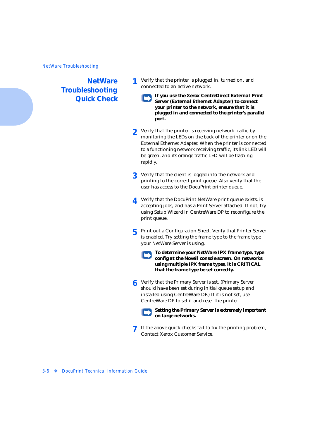### <span id="page-45-0"></span>**NetWare Troubleshooting Quick Check**

**1** Verify that the printer is plugged in, turned on, and connected to an active network.

*If you use the Xerox CentreDirect External Print Server (External Ethernet Adapter) to connect your printer to the network, ensure that it is plugged in and connected to the printer's parallel port.*

- **2** Verify that the printer is receiving network traffic by monitoring the LEDs on the back of the printer or on the External Ethernet Adapter. When the printer is connected to a functioning network receiving traffic, its link LED will be green, and its orange traffic LED will be flashing rapidly.
- **3** Verify that the client is logged into the network and printing to the correct print queue. Also verify that the user has access to the DocuPrint printer queue.
- **4** Verify that the DocuPrint NetWare print queue exists, is accepting jobs, and has a Print Server attached. If not, try using Setup Wizard in CentreWare DP to reconfigure the print queue.
- **5** Print out a Configuration Sheet. Verify that Printer Server is enabled. Try setting the frame type to the frame type your NetWare Server is using.

*To determine your NetWare IPX frame type, type config at the Novell console screen. On networks using multiple IPX frame types, it is CRITICAL that the frame type be set correctly.*

**6** Verify that the Primary Server is set. (Primary Server should have been set during initial queue setup and installed using CentreWare DP.) If it is not set, use CentreWare DP to set it and reset the printer.

#### *Setting the Primary Server is extremely important on large networks.*

**7** If the above quick checks fail to fix the printing problem, Contact Xerox Customer Service.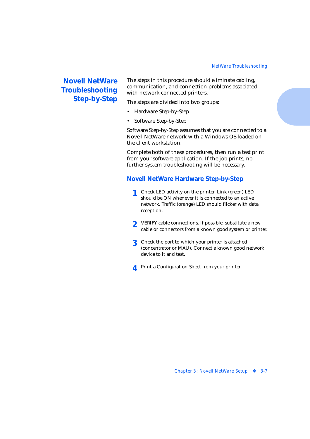## <span id="page-46-0"></span>**Novell NetWare Troubleshooting Step-by-Step**

The steps in this procedure should eliminate cabling, communication, and connection problems associated with network connected printers.

The steps are divided into two groups:

- Hardware Step-by-Step
- Software Step-by-Step

Software Step-by-Step assumes that you are connected to a Novell NetWare network with a Windows OS loaded on the client workstation.

Complete both of these procedures, then run a test print from your software application. If the job prints, no further system troubleshooting will be necessary.

### **Novell NetWare Hardware Step-by-Step**

- **1** Check LED activity on the printer. Link (green) LED should be ON whenever it is connected to an active network. Traffic (orange) LED should flicker with data reception.
- **2** VERIFY cable connections. If possible, substitute a new cable or connectors from a known good system or printer.
- **3** Check the port to which your printer is attached (concentrator or MAU). Connect a known good network device to it and test.
- **4** Print a Configuration Sheet from your printer.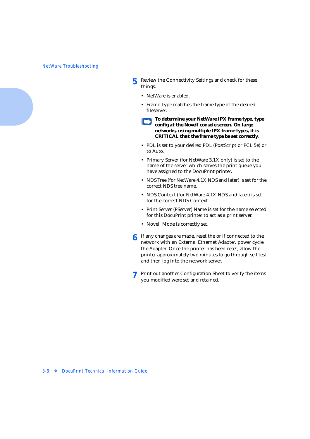- **5** Review the Connectivity Settings and check for these things:
	- NetWare is enabled.
	- Frame Type matches the frame type of the desired fileserver.
	- *To determine your NetWare IPX frame type, type config at the Novell console screen. On large networks, using multiple IPX frame types, it is CRITICAL that the frame type be set correctly.*
	- PDL is set to your desired PDL (PostScript or PCL 5e) or to Auto.
	- Primary Server (for NetWare 3.1X only) is set to the name of the server which serves the print queue you have assigned to the DocuPrint printer.
	- NDS Tree (for NetWare 4.1X NDS and later) is set for the correct NDS tree name.
	- NDS Context (for NetWare 4.1X NDS and later) is set for the correct NDS Context.
	- Print Server (PServer) Name is set for the name selected for this DocuPrint printer to act as a print server.
	- Novell Mode is correctly set.
- **6** If any changes are made, reset the or if connected to the network with an External Ethernet Adapter, power cycle the Adapter. Once the printer has been reset, allow the printer approximately two minutes to go through self test and then log into the network server.
- **7** Print out another Configuration Sheet to verify the items you modified were set and retained.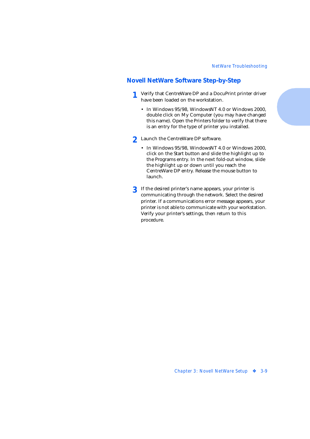### <span id="page-48-0"></span>**Novell NetWare Software Step-by-Step**

- **1** Verify that CentreWare DP and a DocuPrint printer driver have been loaded on the workstation.
	- In Windows 95/98, WindowsNT 4.0 or Windows 2000, double click on My Computer (you may have changed this name). Open the Printers folder to verify that there is an entry for the type of printer you installed.
- **2** Launch the CentreWare DP software.
	- In Windows 95/98, WindowsNT 4.0 or Windows 2000, click on the Start button and slide the highlight up to the Programs entry. In the next fold-out window, slide the highlight up or down until you reach the CentreWare DP entry. Release the mouse button to launch.
- **3** If the desired printer's name appears, your printer is communicating through the network. Select the desired printer. If a communications error message appears, your printer is not able to communicate with your workstation. Verify your printer's settings, then return to this procedure.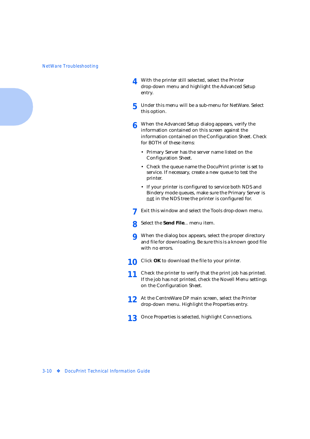- **4** With the printer still selected, select the Printer drop-down menu and highlight the Advanced Setup entry.
- **5** Under this menu will be a sub-menu for NetWare. Select this option.
- **6** When the Advanced Setup dialog appears, verify the information contained on this screen against the information contained on the Configuration Sheet. Check for BOTH of these items:
	- Primary Server has the server name listed on the Configuration Sheet.
	- Check the queue name the DocuPrint printer is set to service. If necessary, create a new queue to test the printer.
	- If your printer is configured to service both NDS and Bindery mode queues, make sure the Primary Server is not in the NDS tree the printer is configured for.
- **7** Exit this window and select the Tools drop-down menu.
- **8** Select the **Send File**... menu item.
- **9** When the dialog box appears, select the proper directory and file for downloading. Be sure this is a known good file with no errors.
- **10** Click **OK** to download the file to your printer.
- **11** Check the printer to verify that the print job has printed. If the job has not printed, check the Novell Menu settings on the Configuration Sheet.
- **12** At the CentreWare DP main screen, select the Printer drop-down menu. Highlight the Properties entry.
- **13** Once Properties is selected, highlight Connections.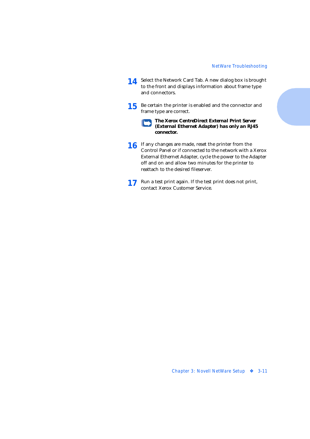- 14 Select the Network Card Tab. A new dialog box is brought to the front and displays information about frame type and connectors.
- **15** Be certain the printer is enabled and the connector and frame type are correct.

*The Xerox CentreDirect External Print Server (External Ethernet Adapter) has only an RJ45 connector.*

- **16** If any changes are made, reset the printer from the Control Panel or if connected to the network with a Xerox External Ethernet Adapter, cycle the power to the Adapter off and on and allow two minutes for the printer to reattach to the desired fileserver.
- **17** Run a test print again. If the test print does not print, contact Xerox Customer Service.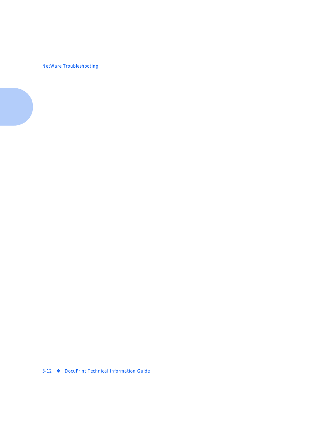*NetWare Troubleshooting*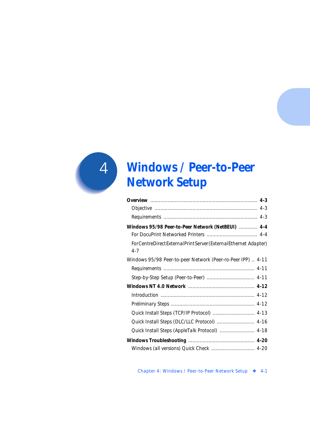

# *Windows / Peer-to-Peer*  **Network Setup**

| $4 - 3$                                                                    |
|----------------------------------------------------------------------------|
| $4 - 3$                                                                    |
| $4 - 3$                                                                    |
| Windows 95/98 Peer-to-Peer Network (NetBEUI)<br>$4 - 4$                    |
|                                                                            |
| For Centre Direct External Print Server (External Ethernet Adapter)<br>4-7 |
| Windows 95/98 Peer-to-peer Network (Peer-ro-Peer IPP)  4-11                |
|                                                                            |
|                                                                            |
|                                                                            |
|                                                                            |
| $4 - 12$                                                                   |
| Quick Install Steps (TCP/IP Protocol)  4-13                                |
| Quick Install Steps (DLC/LLC Protocol)<br>$4 - 16$                         |
| Quick Install Steps (AppleTalk Protocol)  4-18                             |
|                                                                            |
| Windows (all versions) Quick Check  4-20                                   |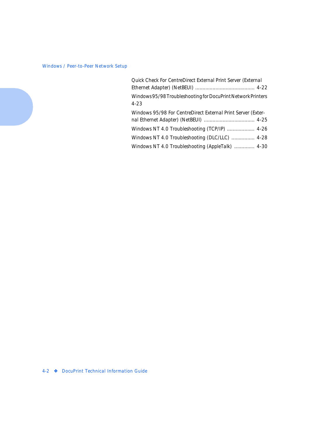| Quick Check For CentreDirect External Print Server (External             |  |
|--------------------------------------------------------------------------|--|
| Windows 95/98 Troubleshooting for DocuPrint Network Printers<br>$4 - 23$ |  |
| Windows 95/98 For CentreDirect External Print Server (Exter-             |  |
| Windows NT 4.0 Troubleshooting (TCP/IP)  4-26                            |  |
| Windows NT 4.0 Troubleshooting (DLC/LLC)  4-28                           |  |
| Windows NT 4.0 Troubleshooting (AppleTalk)  4-30                         |  |
|                                                                          |  |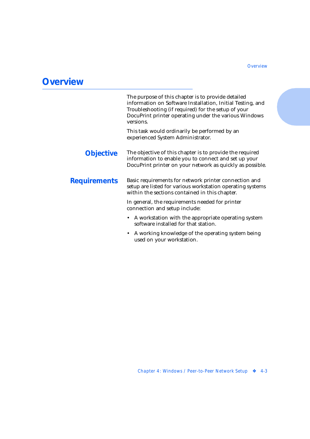# <span id="page-54-0"></span>**Overview**

The purpose of this chapter is to provide detailed information on Software Installation, Initial Testing, and Troubleshooting (if required) for the setup of your DocuPrint printer operating under the various Windows versions.

This task would ordinarily be performed by an experienced System Administrator.

#### **Objective** The objective of this chapter is to provide the required information to enable you to connect and set up your DocuPrint printer on your network as quickly as possible.

#### **Requirements** Basic requirements for network printer connection and setup are listed for various workstation operating systems within the sections contained in this chapter.

In general, the requirements needed for printer connection and setup include:

- A workstation with the appropriate operating system software installed for that station.
- A working knowledge of the operating system being used on your workstation.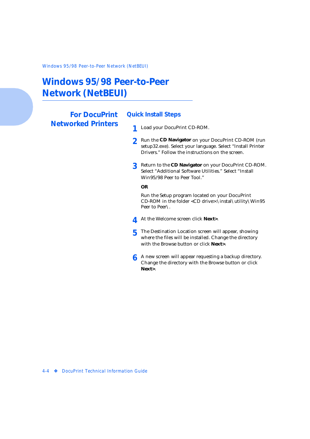<span id="page-55-0"></span>*Windows 95/98 Peer-to-Peer Network (NetBEUI)*

# **Windows 95/98 Peer-to-Peer Network (NetBEUI)**

## **For DocuPrint Networked Printers**

### **Quick Install Steps**

- **1** Load your DocuPrint CD-ROM.
- **2** Run the **CD Navigator** on your DocuPrint CD-ROM (run setup32.exe). Select your language. Select "Install Printer Drivers." Follow the instructions on the screen.
- **3** Return to the **CD Navigator** on your DocuPrint CD-ROM. Select "Additional Software Utilities." Select "Install Win95/98 Peer to Peer Tool."

#### *OR*

Run the Setup program located on your DocuPrint CD-ROM in the folder <CD drive>:\instal\utility\Win95 Peer to Peer\.

- **4** At the Welcome screen click **Next>**.
- **5** The Destination Location screen will appear, showing where the files will be installed. Change the directory with the Browse button or click **Next>**.
- **6** A new screen will appear requesting a backup directory. Change the directory with the Browse button or click **Next>**.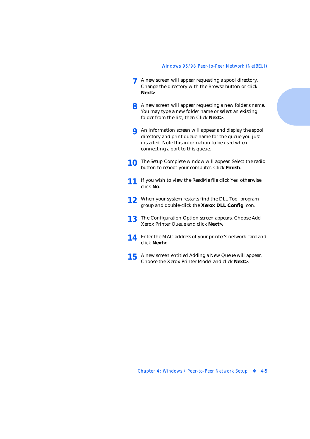- **7** A new screen will appear requesting a spool directory. Change the directory with the Browse button or click **Next>**.
- **8** A new screen will appear requesting a new folder's name. You may type a new folder name or select an existing folder from the list, then Click **Next>**.
- **9** An information screen will appear and display the spool directory and print queue name for the queue you just installed. Note this information to be used when connecting a port to this queue.
- **10** The Setup Complete window will appear. Select the radio button to reboot your computer. Click **Finish**.
- **11** If you wish to view the ReadMe file click Yes, otherwise click **No**.
- **12** When your system restarts find the DLL Tool program group and double-click the **Xerox DLL Config** icon.
- **13** The Configuration Option screen appears. Choose Add Xerox Printer Queue and click **Next>**.
- **14** Enter the MAC address of your printer's network card and click **Next>**.
- **15** A new screen entitled Adding a New Queue will appear. Choose the Xerox Printer Model and click **Next>**.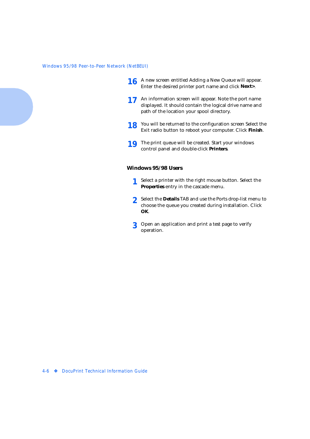- **16** A new screen entitled Adding a New Queue will appear. Enter the desired printer port name and click **Next>**.
- **17** An information screen will appear. Note the port name displayed. It should contain the logical drive name and path of the location your spool directory.
- **18** You will be returned to the configuration screen Select the Exit radio button to reboot your computer. Click **Finish**.
- **19** The print queue will be created. Start your windows control panel and double-click **Printers**.

#### **Windows 95/98 Users**

- **1** Select a printer with the right mouse button. Select the **Properties** entry in the cascade menu.
- **2** Select the **Details** TAB and use the Ports drop-list menu to choose the queue you created during installation. Click **OK**.
- **3** Open an application and print a test page to verify operation.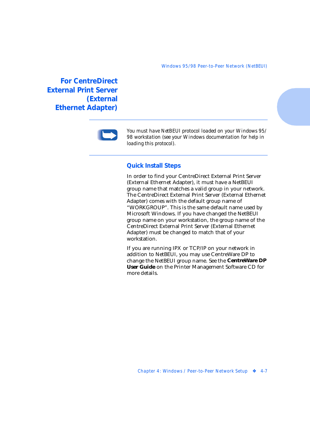<span id="page-58-0"></span>**For CentreDirect External Print Server (External Ethernet Adapter)**



*You must have NetBEUI protocol loaded on your Windows 95/ 98 workstation (see your Windows documentation for help in loading this protocol).*

### **Quick Install Steps**

In order to find your CentreDirect External Print Server (External Ethernet Adapter), it must have a NetBEUI group name that matches a valid group in your network. The CentreDirect External Print Server (External Ethernet Adapter) comes with the default group name of "WORKGROUP". This is the same default name used by Microsoft Windows. If you have changed the NetBEUI group name on your workstation, the group name of the CentreDirect External Print Server (External Ethernet Adapter) must be changed to match that of your workstation.

If you are running IPX or TCP/IP on your network in addition to NetBEUI, you may use CentreWare DP to change the NetBEUI group name. See the **CentreWare DP User Guide** on the Printer Management Software CD for more details.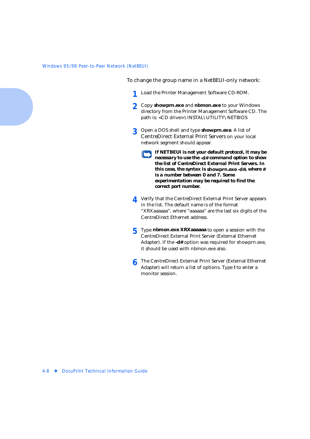To change the group name in a NetBEUI-only network:

- **1** Load the Printer Management Software CD-ROM.
- **2** Copy **showprn.exe** and **nbmon.exe** to your Windows directory from the Printer Management Software CD. The path is: <CD drive>:\INSTAL\UTILITY\NETBIOS
- **3** Open a DOS shell and type **showprn.exe**. A list of CentreDirect External Print Servers on your local network segment should appear.
	- *If NETBEUI is not your default protocol, it may be necessary to use the* **-d#** *command option to show the list of CentreDirect External Print Servers. In this case, the syntax is* **showprn.exe -d#***, where* **#** *is a number between 0 and 7. Some experimentation may be required to find the correct port number.*
- **4** Verify that the CentreDirect External Print Server appears in the list. The default name is of the format "XRXaaaaaa", where "aaaaaa" are the last six digits of the CentreDirect Ethernet address.
- **5** Type **nbmon.exe XRXaaaaaa** to open a session with the CentreDirect External Print Server (External Ethernet Adapter). If the **-d#** option was required for showprn.exe, it should be used with nbmon.exe also.
- **6** The CentreDirect External Print Server (External Ethernet Adapter) will return a list of options. Type **!** to enter a monitor session.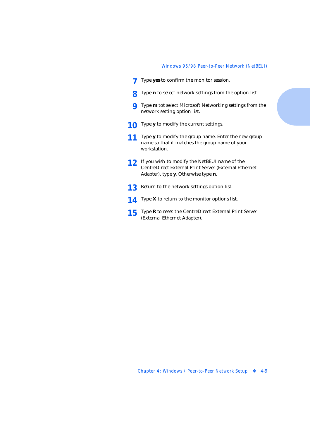- **7** Type **yes** to confirm the monitor session.
- **8** Type **n** to select network settings from the option list.
- **9** Type **m** tot select Microsoft Networking settings from the network setting option list.
- **10** Type **y** to modify the current settings.
- **11** Type **y** to modify the group name. Enter the new group name so that it matches the group name of your workstation.
- **12** If you wish to modify the NetBEUI name of the CentreDirect External Print Server (External Ethernet Adapter), type **y**. Otherwise type **n**.
- 13 Return to the network settings option list.
- **14** Type **X** to return to the monitor options list.
- **15** Type **R** to reset the CentreDirect External Print Server (External Ethernet Adapter).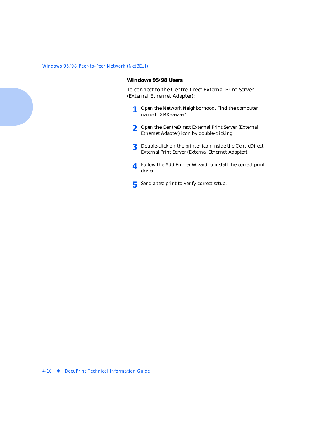#### **Windows 95/98 Users**

To connect to the CentreDirect External Print Server (External Ethernet Adapter):

- **1** Open the Network Neighborhood. Find the computer named "XRXaaaaaa".
- **2** Open the CentreDirect External Print Server (External Ethernet Adapter) icon by double-clicking.
- **3** Double-click on the printer icon inside the CentreDirect External Print Server (External Ethernet Adapter).
- **4** Follow the Add Printer Wizard to install the correct print driver.
- **5** Send a test print to verify correct setup.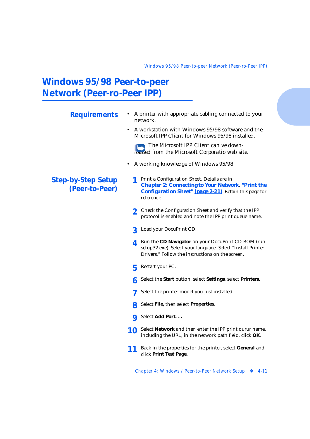# <span id="page-62-0"></span>**Windows 95/98 Peer-to-peer Network (Peer-ro-Peer IPP)**

| <b>Requirements</b>                         | A printer with appropriate cabling connected to your<br>network.                                                                                                                       |
|---------------------------------------------|----------------------------------------------------------------------------------------------------------------------------------------------------------------------------------------|
|                                             | A workstation with Windows 95/98 software and the<br>$\bullet$<br>Microsoft IPP Client for Windows 95/98 installed.                                                                    |
|                                             | The Microsoft IPP Client can ve down-<br>waued from the Microsoft Corporatio web site.                                                                                                 |
|                                             | A working knowledge of Windows 95/98                                                                                                                                                   |
| <b>Step-by-Step Setup</b><br>(Peer-to-Peer) | Print a Configuration Sheet. Details are in<br><b>Chapter 2: Connecting to Your Network, "Print the</b><br><b>Configuration Sheet"</b> (page 2-21). Retain this page for<br>reference. |
|                                             | Check the Configuration Sheet and verify that the IPP<br>$\mathbf{p}$<br>protocol is enabled and note the IPP print queue name.                                                        |
|                                             | Load your DocuPrint CD.                                                                                                                                                                |
|                                             | Run the CD Navigator on your DocuPrint CD-ROM (run<br>Д<br>setup32.exe). Select your language. Select "Install Printer<br>Drivers." Follow the instructions on the screen.             |
|                                             | Restart your PC.                                                                                                                                                                       |

- **6** Select the **Start** button, select **Settings**, select **Printers.**
- **7** Select the printer model you just installed.
- **8** Select **File**, then select **Properties**.
- **9** Select **Add Port. . .**
- **10** Select **Network** and then enter the IPP print qurur name, including the URL, in the network path field, click **OK**.
- **11** Back in the properties for the printer, select **General** and click **Print Test Page.**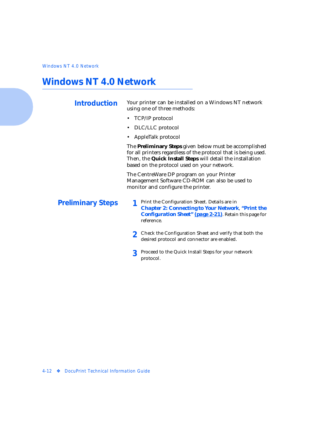# <span id="page-63-0"></span>**Windows NT 4.0 Network**

| <b>Introduction</b>      | Your printer can be installed on a Windows NT network<br>using one of three methods:                                                                                                                                                   |
|--------------------------|----------------------------------------------------------------------------------------------------------------------------------------------------------------------------------------------------------------------------------------|
|                          | • TCP/IP protocol                                                                                                                                                                                                                      |
|                          | • DLC/LLC protocol                                                                                                                                                                                                                     |
|                          | • AppleTalk protocol                                                                                                                                                                                                                   |
|                          | The Preliminary Steps given below must be accomplished<br>for all printers regardless of the protocol that is being used.<br>Then, the Quick Install Steps will detail the installation<br>based on the protocol used on your network. |
|                          | The CentreWare DP program on your Printer<br>Management Software CD-ROM can also be used to<br>monitor and configure the printer.                                                                                                      |
| <b>Preliminary Steps</b> | Print the Configuration Sheet. Details are in<br><b>Chapter 2: Connecting to Your Network, "Print the</b><br><b>Configuration Sheet"</b> (page 2-21). Retain this page for                                                             |

reference.

- **2** Check the Configuration Sheet and verify that both the desired protocol and connector are enabled.
- **3** Proceed to the Quick Install Steps for your network protocol.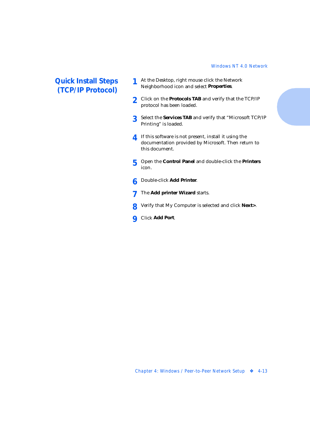## <span id="page-64-0"></span>**Quick Install Steps (TCP/IP Protocol)**

- **1** At the Desktop, right mouse click the Network Neighborhood icon and select **Properties**.
- **2** Click on the **Protocols TAB** and verify that the TCP/IP protocol has been loaded.
- **3** Select the **Services TAB** and verify that "Microsoft TCP/IP Printing" is loaded.
- **4** If this software is not present, install it using the documentation provided by Microsoft. Then return to this document.
- **5** Open the **Control Panel** and double-click the **Printers** icon.
- **6** Double-click **Add Printer**.
- **7** The **Add printer Wizard** starts.
- **8** Verify that My Computer is selected and click **Next>**.
- **9** Click **Add Port**.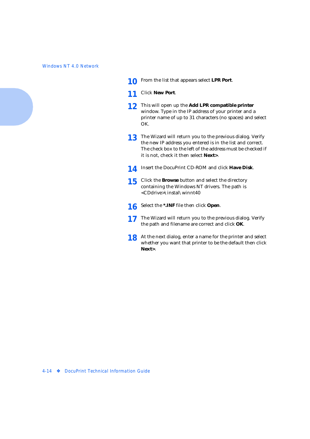- **10** From the list that appears select LPR Port.
- **11** Click **New Port**.
- **12** This will open up the **Add LPR compatible printer** window. Type in the IP address of your printer and a printer name of up to 31 characters (no spaces) and select OK.
- **13** The Wizard will return you to the previous dialog. Verify the new IP address you entered is in the list and correct. The check box to the left of the address must be checked if it is not, check it then select **Next>**.
- **14** Insert the DocuPrint CD-ROM and click **Have Disk**.
- **15** Click the **Browse** button and select the directory containing the Windows NT drivers. The path is <CDdrive>\instal\winnt40
- **16** Select the **\*.INF** file then click **Open**.
- **17** The Wizard will return you to the previous dialog. Verify the path and filename are correct and click **OK**.
- **18** At the next dialog, enter a name for the printer and select whether you want that printer to be the default then click **Next>**.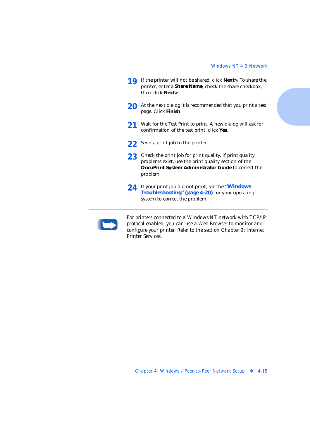- **19** If the printer will not be shared, click **Next>**. To share the printer, enter a **Share Name**, check the share checkbox, then click **Next>**.
- 20 At the next dialog it is recommended that you print a test page. Click **Finish**.
- **21** Wait for the Test Print to print. A new dialog will ask for confirmation of the test print, click **Yes**.
- 22 Send a print job to the printer.
- 23 Check the print job for print quality. If print quality problems exist, use the print quality section of the **DocuPrint System Administrator Guide** to correct the problem.
- **24** If your print job did not print, see the *["Windows](#page-71-0)  [Troubleshooting" \(page 4-20](#page-71-0))* for your operating system to correct the problem.



*For printers connected to a Windows NT network with TCP/IP protocol enabled, you can use a Web Browser to monitor and configure your printer. Refer to the sectio[n Chapter 9: Internet](#page-108-0)  [Printer Services](#page-108-0).*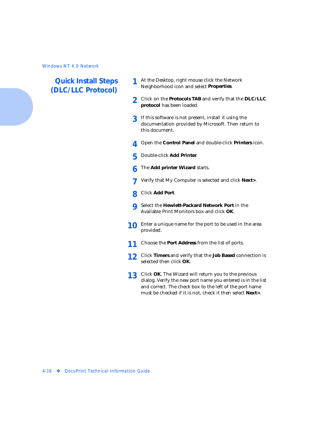## <span id="page-67-0"></span>**Quick Install Steps (DLC/LLC Protocol)**

- **1** At the Desktop, right mouse click the Network Neighborhood icon and select **Properties**.
- **2** Click on the **Protocols TAB** and verify that the **DLC/LLC protocol** has been loaded.
- **3** If this software is not present, install it using the documentation provided by Microsoft. Then return to this document.
- **4** Open the **Control Panel** and double-click **Printers** icon.
- **5** Double-click **Add Printer**.
- **6** The **Add printer Wizard** starts.
- **7** Verify that My Computer is selected and click **Next>**.
- **8** Click **Add Port**.
- **9** Select the **Hewlett-Packard Network Port** in the Available Print Monitors box and click **OK**.
- **10** Enter a unique name for the port to be used in the area provided.
- **11** Choose the **Port Address** from the list of ports.
- **12** Click **Timers** and verify that the **Job Based** connection is selected then click **OK**.
- **13** Click **OK**. The Wizard will return you to the previous dialog. Verify the new port name you entered is in the list and correct. The check box to the left of the port name must be checked if it is not, check it then select **Next>**.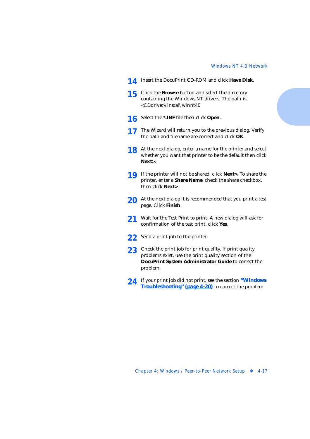- **14** Insert the DocuPrint CD-ROM and click **Have Disk**.
- **15** Click the **Browse** button and select the directory containing the Windows NT drivers. The path is <CDdrive>\instal\winnt40
- **16** Select the **\*.INF** file then click **Open**.
- **17** The Wizard will return you to the previous dialog. Verify the path and filename are correct and click **OK**.
- **18** At the next dialog, enter a name for the printer and select whether you want that printer to be the default then click **Next>**.
- **19** If the printer will not be shared, click **Next>**. To share the printer, enter a **Share Name**, check the share checkbox, then click **Next>**.
- **20** At the next dialog it is recommended that you print a test page. Click **Finish**.
- **21** Wait for the Test Print to print. A new dialog will ask for confirmation of the test print, click **Yes**.
- 22 Send a print job to the printer.
- 23 Check the print job for print quality. If print quality problems exist, use the print quality section of the **DocuPrint System Administrator Guide** to correct the problem.
- **24** If your print job did not print, see the section *["Windows](#page-71-0)  [Troubleshooting" \(page 4-20](#page-71-0))* to correct the problem.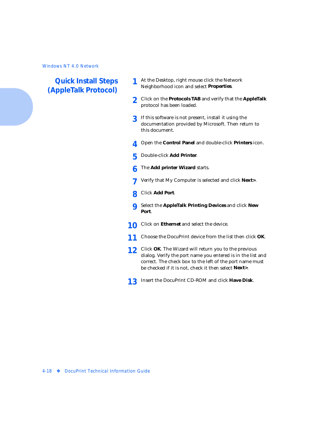## <span id="page-69-0"></span>**Quick Install Steps (AppleTalk Protocol)**

- **1** At the Desktop, right mouse click the Network Neighborhood icon and select **Properties**.
- **2** Click on the **Protocols TAB** and verify that the **AppleTalk** protocol has been loaded.
- **3** If this software is not present, install it using the documentation provided by Microsoft. Then return to this document.
- **4** Open the **Control Panel** and double-click **Printers** icon.
- **5** Double-click **Add Printer**.
- **6** The **Add printer Wizard** starts.
- **7** Verify that My Computer is selected and click **Next>**.
- **8** Click **Add Port**.
- **9** Select the **AppleTalk Printing Devices** and click **New Port**.
- **10** Click on **Ethernet** and select the device.
- **11** Choose the DocuPrint device from the list then click **OK**.
- **12** Click **OK**. The Wizard will return you to the previous dialog. Verify the port name you entered is in the list and correct. The check box to the left of the port name must be checked if it is not, check it then select **Next>**.
- **13** Insert the DocuPrint CD-ROM and click **Have Disk**.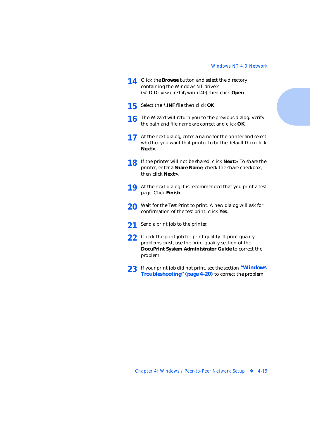- **14** Click the **Browse** button and select the directory containing the Windows NT drivers (<CD Drive>:\instal\winnt40) then click **Open**.
- **15** Select the **\*.INF** file then click **OK**.
- **16** The Wizard will return you to the previous dialog. Verify the path and file name are correct and click **OK**.
- **17** At the next dialog, enter a name for the printer and select whether you want that printer to be the default then click **Next>**.
- **18** If the printer will not be shared, click **Next>**. To share the printer, enter a **Share Name**, check the share checkbox, then click **Next>**.
- **19** At the next dialog it is recommended that you print a test page. Click **Finish**.
- 20 Wait for the Test Print to print. A new dialog will ask for confirmation of the test print, click **Yes**.
- 21 Send a print job to the printer.
- 22 Check the print job for print quality. If print quality problems exist, use the print quality section of the **DocuPrint System Administrator Guide** to correct the problem.
- **23** If your print job did not print, see the section *["Windows](#page-71-0)  [Troubleshooting" \(page 4-20](#page-71-0))* to correct the problem.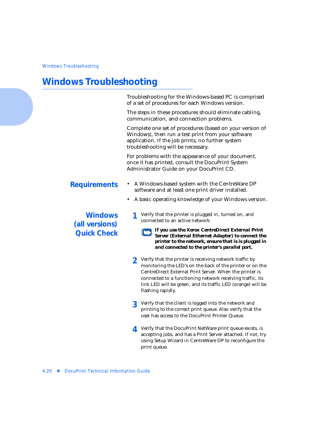# <span id="page-71-0"></span>**Windows Troubleshooting**

Troubleshooting for the Windows-based PC is comprised of a set of procedures for each Windows version.

The steps in these procedures should eliminate cabling, communication, and connection problems.

Complete one set of procedures (based on your version of Windows), then run a test print from your software application. If the job prints, no further system troubleshooting will be necessary.

For problems with the appearance of your document, once it has printed, consult the DocuPrint System Administrator Guide on your DocuPrint CD.

- **Requirements** A Windows-based system with the CentreWare DP software and at least one print driver installed.
	- A basic operating knowledge of your Windows version.

### **Windows (all versions) Quick Check**

- **1** Verify that the printer is plugged in, turned on, and connected to an active network.
	- *If you use the Xerox CentreDirect External Print Server (External Ethernet Adapter) to connect the printer to the network, ensure that is is plugged in and connected to the printer's parallel port.*
- **2** Verify that the printer is receiving network traffic by monitoring the LED's on the back of the printer or on the CentreDirect External Print Server. When the printer is connected to a functioning network receiving traffic, its link LED will be green, and its traffic LED (orange) will be flashing rapidly.
- **3** Verify that the client is logged into the network and printing to the correct print queue. Also verify that the user has access to the DocuPrint Printer Queue.
- **4** Verify that the DocuPrint NetWare print queue exists, is accepting jobs, and has a Print Server attached. If not, try using Setup Wizard in CentreWare DP to reconfigure the print queue.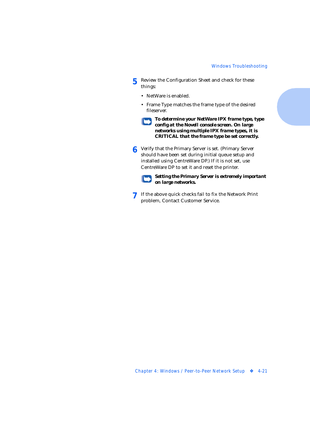- **5** Review the Configuration Sheet and check for these things:
	- NetWare is enabled.
	- Frame Type matches the frame type of the desired fileserver.

5 *To determine your NetWare IPX frame type, type config at the Novell console screen. On large networks using multiple IPX frame types, it is CRITICAL that the frame type be set correctly.*

**6** Verify that the Primary Server is set. (Primary Server should have been set during initial queue setup and installed using CentreWare DP.) If it is not set, use CentreWare DP to set it and reset the printer.



*Setting the Primary Server is extremely important on large networks.*

**7** If the above quick checks fail to fix the Network Print problem, Contact Customer Service.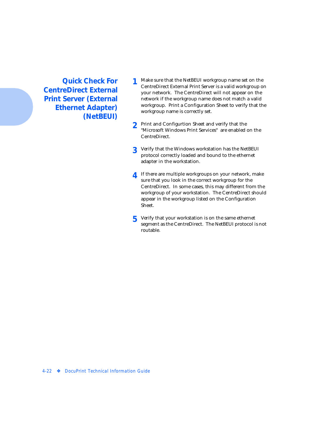**Quick Check For CentreDirect External Print Server (External Ethernet Adapter) (NetBEUI)**

- **1** Make sure that the NetBEUI workgroup name set on the CentreDirect External Print Server is a valid workgroup on your network. The CentreDirect will not appear on the network if the workgroup name does not match a valid workgroup. Print a Configuration Sheet to verify that the workgroup name is correctly set.
- **2** Print and Configurtion Sheet and verify that the "Microsoft Windows Print Services" are enabled on the CentreDirect.
- **3** Verify that the Windows workstation has the NetBEUI protocol correctly loaded and bound to the ethernet adapter in the workstation.
- **4** If there are multiple workgroups on your network, make sure that you look in the correct workgroup for the CentreDirect. In some cases, this may different from the workgroup of your workstation. The CentreDirect should appear in the workgroup listed on the Configuration Sheet.
- **5** Verify that your workstation is on the same ethernet segment as the CentreDirect. The NetBEUI protocol is not routable.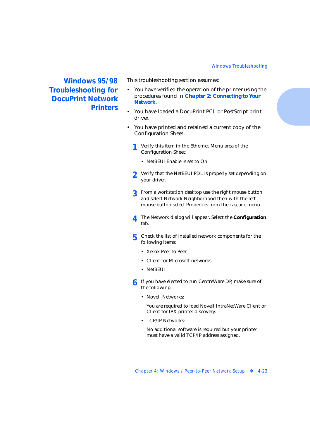**Windows 95/98 Troubleshooting for DocuPrint Network Printers** This troubleshooting section assumes:

- You have verified the operation of the printer using the procedures found in *[Chapter 2: Connecting to Your](#page-14-0)  [Network](#page-14-0)*.
- You have loaded a DocuPrint PCL or PostScript print driver.
- You have printed and retained a current copy of the Configuration Sheet.
	- **1** Verify this item in the Ethernet Menu area of the Configuration Sheet:
		- NetBEUI Enable is set to On.
	- **2** Verify that the NetBEUI PDL is properly set depending on your driver.
	- **3** From a workstation desktop use the right mouse button and select Network Neighborhood then with the left mouse button select Properties from the cascade menu.
	- **4** The Network dialog will appear. Select the **Configuration**  tab.
	- **5** Check the list of installed network components for the following items:
		- Xerox Peer to Peer
		- Client for Microsoft networks
		- NetBEUI
	- **6** If you have elected to run CentreWare DP, make sure of the following:
		- Novell Networks:

You are required to load Novell IntraNetWare Client or Client for IPX printer discovery.

• TCP/IP Networks:

No additional software is required but your printer must have a valid TCP/IP address assigned.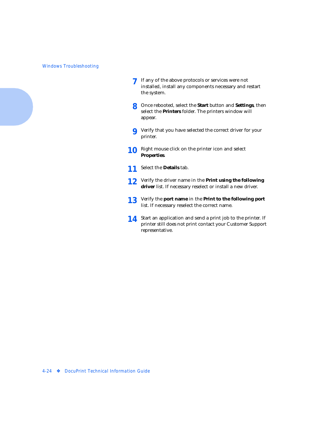- **7** If any of the above protocols or services were not installed, install any components necessary and restart the system.
- **8** Once rebooted, select the **Start** button and **Settings**, then select the **Printers** folder. The printers window will appear.
- **9** Verify that you have selected the correct driver for your printer.
- **10** Right mouse click on the printer icon and select **Properties**.
- **11** Select the **Details** tab.
- **12** Verify the driver name in the **Print using the following driver** list. If necessary reselect or install a new driver.
- **13** Verify the **port name** in the **Print to the following port** list. If necessary reselect the correct name.
- **14** Start an application and send a print job to the printer. If printer still does not print contact your Customer Support representative.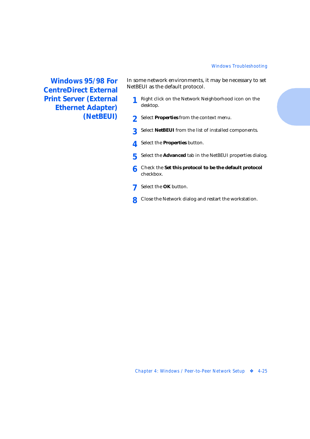**Windows 95/98 For CentreDirect External Print Server (External Ethernet Adapter) (NetBEUI)**

In some network environments, it may be necessary to set NetBEUI as the default protocol.

- **1** Right click on the Network Neighborhood icon on the desktop.
- **2** Select **Properties** from the context menu.
- **3** Select **NetBEUI** from the list of installed components.
- **4** Select the **Properties** button.
- **5** Select the **Advanced** tab in the NetBEUI properties dialog.
- **6** Check the **Set this protocol to be the default protocol** checkbox.
- **7** Select the **OK** button.
- **8** Close the Network dialog and restart the workstation.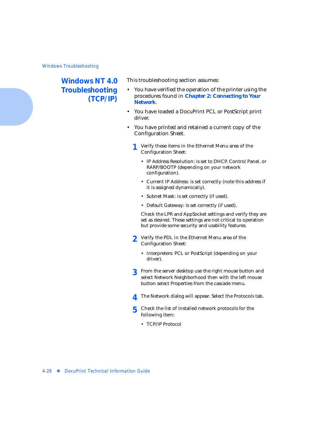## **Windows NT 4.0 Troubleshooting (TCP/IP)**

This troubleshooting section assumes:

- You have verified the operation of the printer using the procedures found in *[Chapter 2: Connecting to Your](#page-14-0)  [Network](#page-14-0)*.
- You have loaded a DocuPrint PCL or PostScript print driver.
- You have printed and retained a current copy of the Configuration Sheet.
	- **1** Verify these items in the Ethernet Menu area of the Configuration Sheet:
		- IP Address Resolution: is set to DHCP, Control Panel, or RARP/BOOTP (depending on your network configuration).
		- Current IP Address: is set correctly (note this address if it is assigned dynamically).
		- Subnet Mask: is set correctly (if used).
		- Default Gateway: is set correctly (if used).

Check the LPR and AppSocket settings and verify they are set as desired. These settings are not critical to operation but provide some security and usability features.

- **2** Verify the PDL in the Ethernet Menu area of the Configuration Sheet:
	- Interpreters: PCL or PostScript (depending on your driver).
- **3** From the server desktop use the right mouse button and select Network Neighborhood then with the left mouse button select Properties from the cascade menu.
- **4** The Network dialog will appear. Select the Protocols tab.
- **5** Check the list of installed network protocols for the following item:
	- TCP/IP Protocol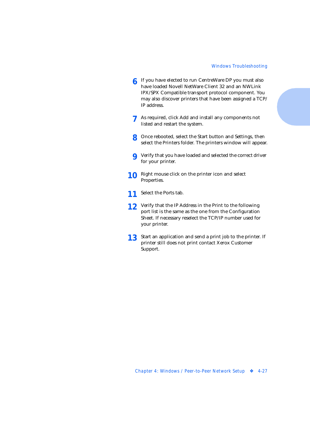- **6** If you have elected to run CentreWare DP you must also have loaded Novell NetWare Client 32 and an NWLink IPX/SPX Compatible transport protocol component. You may also discover printers that have been assigned a TCP/ IP address.
- **7** As required, click Add and install any components not listed and restart the system.
- **8** Once rebooted, select the Start button and Settings, then select the Printers folder. The printers window will appear.
- **9** Verify that you have loaded and selected the correct driver for your printer.
- **10** Right mouse click on the printer icon and select Properties.
- **11** Select the Ports tab.
- **12** Verify that the IP Address in the Print to the following port list is the same as the one from the Configuration Sheet. If necessary reselect the TCP/IP number used for your printer.
- **13** Start an application and send a print job to the printer. If printer still does not print contact Xerox Customer Support.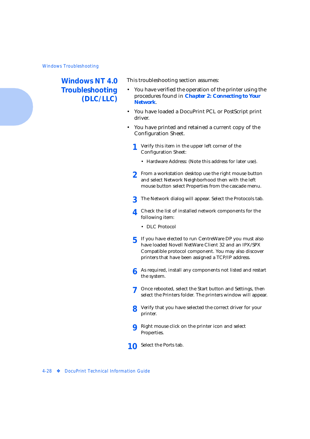# **Windows NT 4.0 Troubleshooting (DLC/LLC)**

This troubleshooting section assumes:

- You have verified the operation of the printer using the procedures found in *[Chapter 2: Connecting to Your](#page-14-0)  [Network](#page-14-0)*.
- You have loaded a DocuPrint PCL or PostScript print driver.
- You have printed and retained a current copy of the Configuration Sheet.
	- **1** Verify this item in the upper left corner of the Configuration Sheet:
		- Hardware Address: (Note this address for later use).
	- **2** From a workstation desktop use the right mouse button and select Network Neighborhood then with the left mouse button select Properties from the cascade menu.
	- **3** The Network dialog will appear. Select the Protocols tab.
	- **4** Check the list of installed network components for the following item:
		- DLC Protocol
	- **5** If you have elected to run CentreWare DP you must also have loaded Novell NetWare Client 32 and an IPX/SPX Compatible protocol component. You may also discover printers that have been assigned a TCP/IP address.
	- **6** As required, install any components not listed and restart the system.
	- **7** Once rebooted, select the Start button and Settings, then select the Printers folder. The printers window will appear.
	- **8** Verify that you have selected the correct driver for your printer.
	- **9** Right mouse click on the printer icon and select Properties.
- **10** Select the Ports tab.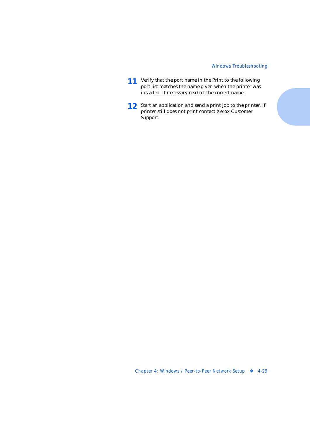- **11** Verify that the port name in the Print to the following port list matches the name given when the printer was installed. If necessary reselect the correct name.
- **12** Start an application and send a print job to the printer. If printer still does not print contact Xerox Customer Support.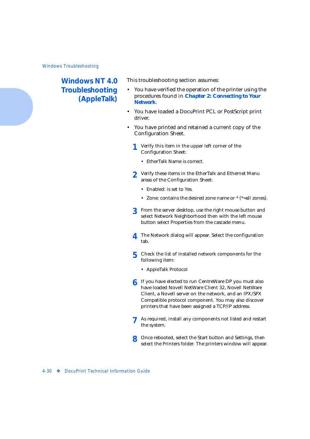# **Windows NT 4.0 Troubleshooting (AppleTalk)**

This troubleshooting section assumes:

- You have verified the operation of the printer using the procedures found in *[Chapter 2: Connecting to Your](#page-14-0)  [Network](#page-14-0)*.
- You have loaded a DocuPrint PCL or PostScript print driver.
- You have printed and retained a current copy of the Configuration Sheet.
	- **1** Verify this item in the upper left corner of the Configuration Sheet:
		- EtherTalk Name is correct.
	- **2** Verify these items in the EtherTalk and Ethernet Menu areas of the Configuration Sheet:
		- Enabled: is set to Yes.
		- Zone: contains the desired zone name or \* (\*=all zones).
	- **3** From the server desktop, use the right mouse button and select Network Neighborhood then with the left mouse button select Properties from the cascade menu.
	- **4** The Network dialog will appear. Select the configuration tab.
	- **5** Check the list of installed network components for the following item:
		- AppleTalk Protocol
	- **6** If you have elected to run CentreWare DP you must also have loaded Novell NetWare Client 32, Novell NetWare Client, a Novell server on the network, and an IPX/SPX Compatible protocol component. You may also discover printers that have been assigned a TCP/IP address.
	- **7** As required, install any components not listed and restart the system.
	- **8** Once rebooted, select the Start button and Settings, then select the Printers folder. The printers window will appear.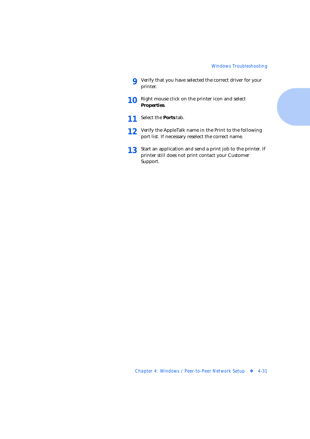- **9** Verify that you have selected the correct driver for your printer.
- **10** Right mouse click on the printer icon and select **Properties**.
- **11** Select the **Ports** tab.
- **12** Verify the AppleTalk name in the Print to the following port list. If necessary reselect the correct name.
- **13** Start an application and send a print job to the printer. If printer still does not print contact your Customer Support.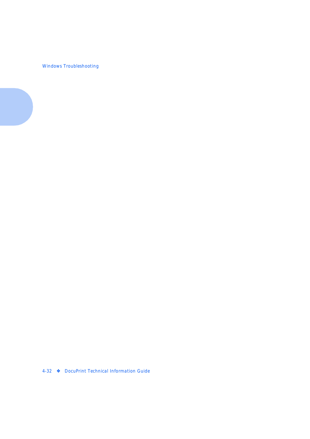*Windows Troubleshooting*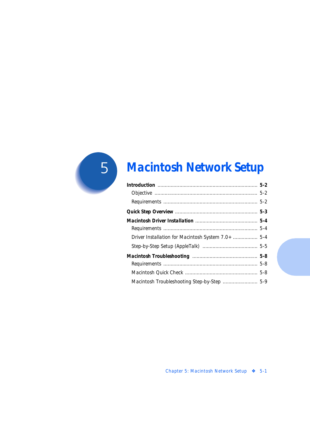

# **Macintosh Network Setup**

| Driver Installation for Macintosh System 7.0+  5-4 |  |
|----------------------------------------------------|--|
|                                                    |  |
|                                                    |  |
|                                                    |  |
|                                                    |  |
| Macintosh Troubleshooting Step-by-Step  5-9        |  |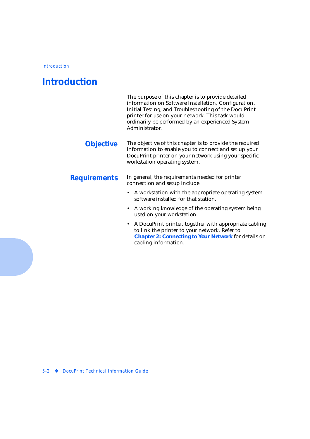# <span id="page-85-0"></span>**Introduction**

The purpose of this chapter is to provide detailed information on Software Installation, Configuration, Initial Testing, and Troubleshooting of the DocuPrint printer for use on your network. This task would ordinarily be performed by an experienced System Administrator.

**Objective** The objective of this chapter is to provide the required information to enable you to connect and set up your DocuPrint printer on your network using your specific workstation operating system.

### **Requirements** In general, the requirements needed for printer connection and setup include:

- A workstation with the appropriate operating system software installed for that station.
- A working knowledge of the operating system being used on your workstation.
- A DocuPrint printer, together with appropriate cabling to link the printer to your network. Refer to *[Chapter 2: Connecting to Your Networ](#page-14-0)k* for details on cabling information.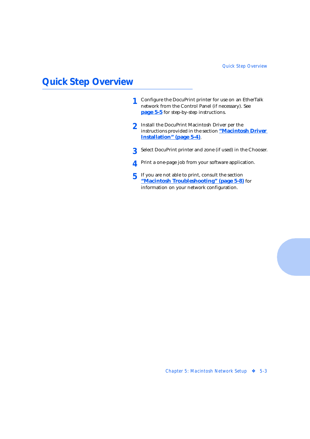# <span id="page-86-0"></span>**Quick Step Overview**

- **1** Configure the DocuPrint printer for use on an EtherTalk network from the Control Panel (if necessary). See **[page 5-5](#page-88-0)** for step-by-step instructions.
- **2** Install the DocuPrint Macintosh Driver per the instructions provided in the section **["Macintosh Driver](#page-87-0)  [Installation" \(page 5-4](#page-87-0))**.
- **3** Select DocuPrint printer and zone (if used) in the Chooser.
- **4** Print a one-page job from your software application.
- **5** If you are not able to print, consult the section **["Macintosh Troubleshooting" \(page 5-8](#page-91-0))** for information on your network configuration.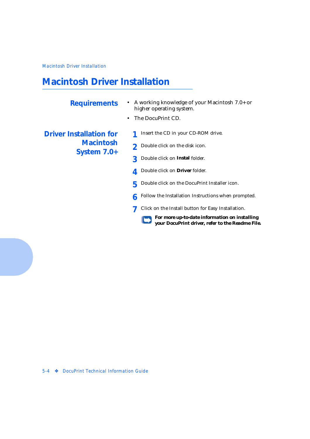# <span id="page-87-0"></span>**Macintosh Driver Installation**

# **Requirements** • A working knowledge of your Macintosh 7.0+ or higher operating system. • The DocuPrint CD. **Macintosh System 7.0+ 1** Insert the CD in your CD-ROM drive. **2** Double click on the disk icon. **3** Double click on **Instal** folder. **4** Double click on **Driver** folder. **5** Double click on the DocuPrint Installer icon. **6** Follow the Installation Instructions when prompted.

**7** Click on the Install button for Easy Installation.

*For more up-to-date information on installing your DocuPrint driver, refer to the Readme File.*

**Driver Installation for**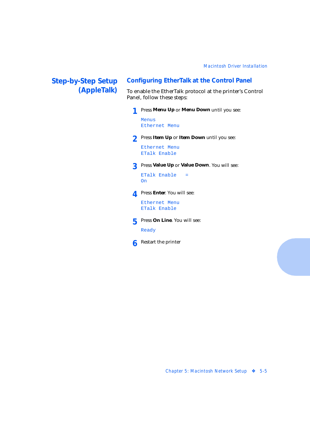# <span id="page-88-0"></span>**Step-by-Step Setup (AppleTalk)**

### **Configuring EtherTalk at the Control Panel**

To enable the EtherTalk protocol at the printer's Control Panel, follow these steps:

**1** Press **Menu Up** or **Menu Down** until you see:

Menus Ethernet Menu

**2** Press **Item Up** or **Item Down** until you see:

Ethernet Menu ETalk Enable

**3** Press **Value Up** or **Value Down**. You will see:

ETalk Enable = On

**4** Press **Enter**. You will see:

Ethernet Menu ETalk Enable

**5** Press **On Line**. You will see: Ready

**6** Restart the printer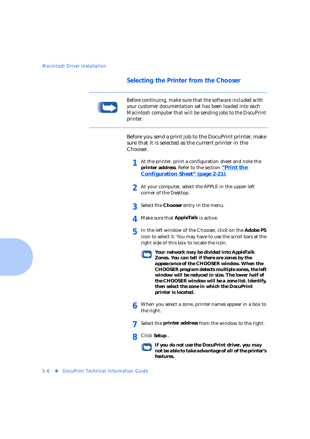### **Selecting the Printer from the Chooser**



*Before continuing, make sure that the software included with your customer documentation set has been loaded into each Macintosh computer that will be sending jobs to the DocuPrint printer.*

Before you send a print job to the DocuPrint printer, make sure that it is selected as the current printer in the Chooser.

- **1** At the printer, print a configuration sheet and note the **printer address**. Refer to the section **["Print the](#page-34-0)  [Configuration Sheet" \(page 2-21](#page-34-0))**.
- **2** At your computer, select the APPLE in the upper left corner of the Desktop.
- **3** Select the **Chooser** entry in the menu.
- **4** Make sure that **AppleTalk** is active.
- **5** In the left window of the Chooser, click on the **Adobe PS** icon to select it. You may have to use the scroll bars at the right side of this box to locate the icon.
	- *Your network may be divided into AppleTalk Zones. You can tell if there are zones by the appearance of the CHOOSER window. When the CHOOSER program detects multiple zones, the left window will be reduced in size. The lower half of the CHOOSER window will be a zone list. Identify, then select the zone in which the DocuPrint printer is located.*
- **6** When you select a zone, printer names appear in a box to the right.
- **7** Select the **printer address** from the window to the right.
- **8** Click **Setup**...

*If you do not use the DocuPrint driver, you may not be able to take advantage of all of the printer's features.*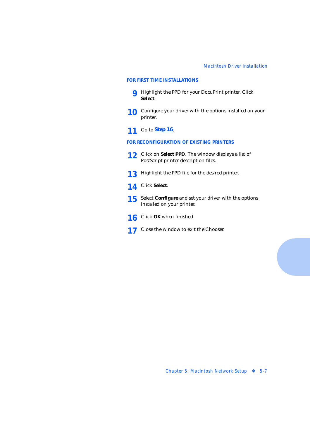#### **FOR FIRST TIME INSTALLATIONS**

- **9** Highlight the PPD for your DocuPrint printer. Click **Select**.
- **10** Configure your driver with the options installed on your printer.
- **11** Go to *Step 16*.

### **FOR RECONFIGURATION OF EXISTING PRINTERS**

- **12** Click on **Select PPD**. The window displays a list of PostScript printer description files.
- **13** Highlight the PPD file for the desired printer.
- **14** Click **Select**.
- **15** Select **Configure** and set your driver with the options installed on your printer.
- **16** Click **OK** when finished.
- **17** Close the window to exit the Chooser.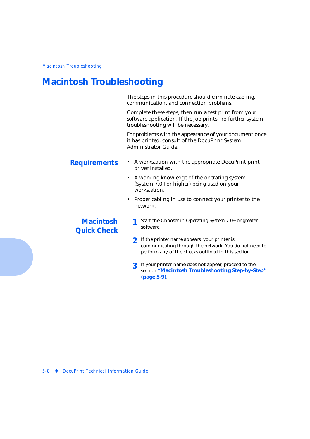# <span id="page-91-0"></span>**Macintosh Troubleshooting**

The steps in this procedure should eliminate cabling, communication, and connection problems.

Complete these steps, then run a test print from your software application. If the job prints, no further system troubleshooting will be necessary.

For problems with the appearance of your document once it has printed, consult of the DocuPrint System Administrator Guide.

- **Requirements** A workstation with the appropriate DocuPrint print driver installed.
	- A working knowledge of the operating system (System 7.0+ or higher) being used on your workstation.
	- Proper cabling in use to connect your printer to the network.

# **Macintosh Quick Check**

- **1** Start the Chooser in Operating System 7.0+ or greater software.
- **2** If the printer name appears, your printer is communicating through the network. You do not need to perform any of the checks outlined in this section.
- **3** If your printer name does not appear, proceed to the section **["Macintosh Troubleshooting Step-by-Step"](#page-92-0)  [\(page 5-9\)](#page-92-0)**.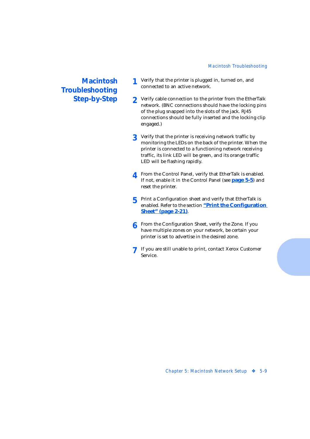# <span id="page-92-0"></span>**Macintosh Troubleshooting Step-by-Step**

- **1** Verify that the printer is plugged in, turned on, and connected to an active network.
- **2** Verify cable connection to the printer from the EtherTalk network. (BNC connections should have the locking pins of the plug snapped into the slots of the jack. RJ45 connections should be fully inserted and the locking clip engaged.)
- **3** Verify that the printer is receiving network traffic by monitoring the LEDs on the back of the printer. When the printer is connected to a functioning network receiving traffic, its link LED will be green, and its orange traffic LED will be flashing rapidly.
- **4** From the Control Panel, verify that EtherTalk is enabled. If not, enable it in the Control Panel (see **[page 5-](#page-88-0)5**) and reset the printer.
- **5** Print a Configuration sheet and verify that EtherTalk is enabled. Refer to the section **["Print the Configuration](#page-34-0)  [Sheet" \(page 2-21](#page-34-0))**.
- **6** From the Configuration Sheet, verify the Zone. If you have multiple zones on your network, be certain your printer is set to advertise in the desired zone.
- **7** If you are still unable to print, contact Xerox Customer Service.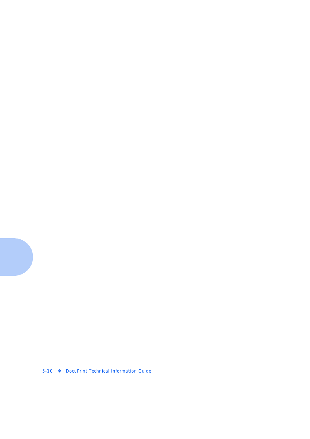*5-10* ❖ *DocuPrint Technical Information Guide*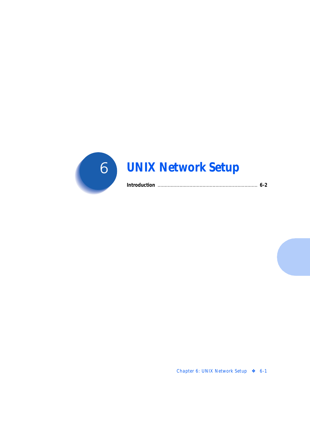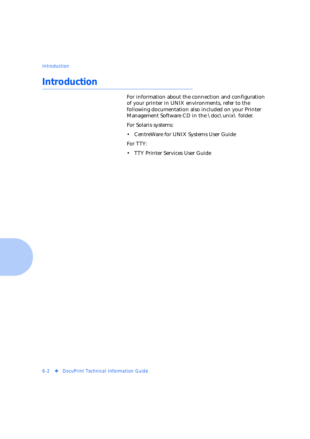# <span id="page-95-0"></span>**Introduction**

For information about the connection and configuration of your printer in UNIX environments, refer to the following documentation also included on your Printer Management Software CD in the \doc\unix\ folder.

For Solaris systems:

• CentreWare for UNIX Systems User Guide

For TTY:

• TTY Printer Services User Guide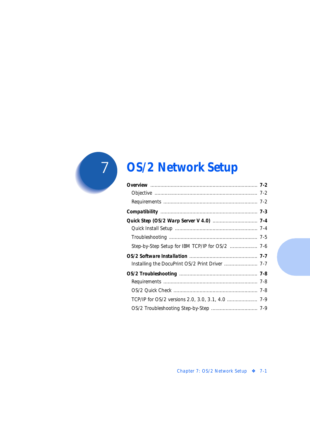

# **OS/2 Network Setup**

| <i>Objective ………………………………………………………</i>      | $7 - 2$ |
|---------------------------------------------|---------|
|                                             |         |
|                                             |         |
|                                             | $7 - 4$ |
|                                             | $7 - 4$ |
|                                             |         |
| Step-by-Step Setup for IBM TCP/IP for OS/2  | 7-6     |
|                                             |         |
| Installing the DocuPrint OS/2 Print Driver  | $7 - 7$ |
|                                             | $7 - 8$ |
|                                             | 7-8     |
|                                             | 7-8     |
| TCP/IP for OS/2 versions 2.0, 3.0, 3.1, 4.0 | $7 - 9$ |
|                                             |         |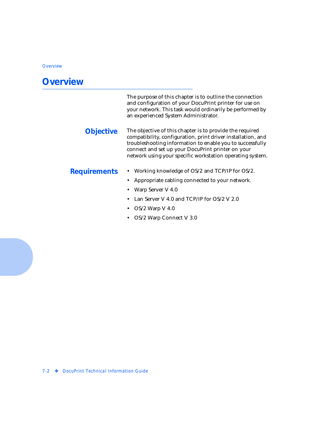# <span id="page-97-0"></span>**Overview**

The purpose of this chapter is to outline the connection and configuration of your DocuPrint printer for use on your network. This task would ordinarily be performed by an experienced System Administrator.

**Objective** The objective of this chapter is to provide the required compatibility, configuration, print driver installation, and troubleshooting information to enable you to successfully connect and set up your DocuPrint printer on your network using your specific workstation operating system.

- **Requirements** Working knowledge of OS/2 and TCP/IP for OS/2.
	- Appropriate cabling connected to your network.
	- Warp Server V 4.0
	- Lan Server V 4.0 and TCP/IP for OS/2 V 2.0
	- OS/2 Warp V  $4.0$
	- OS/2 Warp Connect V 3.0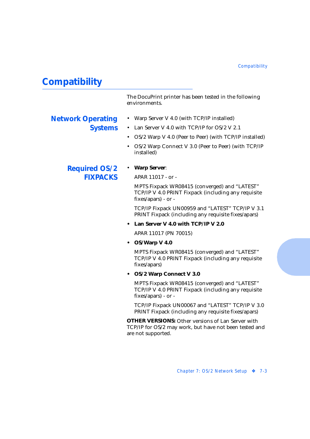# <span id="page-98-0"></span>**Compatibility**

The DocuPrint printer has been tested in the following environments.

### **Network Operating Systems**

- Warp Server V 4.0 (with TCP/IP installed)
- Lan Server V 4.0 with TCP/IP for OS/2 V 2.1
- OS/2 Warp V 4.0 (Peer to Peer) (with TCP/IP installed)
- OS/2 Warp Connect V 3.0 (Peer to Peer) (with TCP/IP installed)

### **Required OS/2 FIXPACKS**

• **Warp Server**:

APAR 11017 - or -

MPTS Fixpack WR08415 (converged) and "LATEST" TCP/IP V 4.0 PRINT Fixpack (including any requisite fixes/apars) - or -

TCP/IP Fixpack UN00959 and "LATEST" TCP/IP V 3.1 PRINT Fixpack (including any requisite fixes/apars)

**• Lan Server V 4.0 with TCP/IP V 2.0**

APAR 11017 (PN 70015)

**• OS/Warp V 4.0**

MPTS Fixpack WR08415 (converged) and "LATEST" TCP/IP V 4.0 PRINT Fixpack (including any requisite fixes/apars)

**• OS/2 Warp Connect V 3.0**

MPTS Fixpack WR08415 (converged) and "LATEST" TCP/IP V 4.0 PRINT Fixpack (including any requisite fixes/apars) - or -

TCP/IP Fixpack UN00067 and "LATEST" TCP/IP V 3.0 PRINT Fixpack (including any requisite fixes/apars)

**OTHER VERSIONS:** Other versions of Lan Server with TCP/IP for OS/2 may work, but have not been tested and are not supported.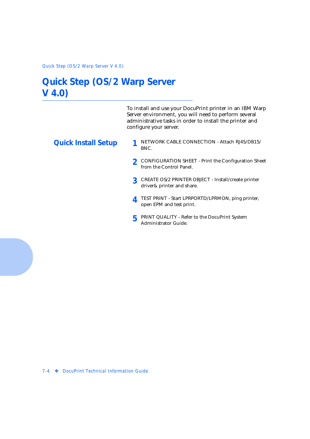<span id="page-99-0"></span>*Quick Step (OS/2 Warp Server V 4.0)*

# **Quick Step (OS/2 Warp Server V 4.0)**

To install and use your DocuPrint printer in an IBM Warp Server environment, you will need to perform several administrative tasks in order to install the printer and configure your server.

- **Quick Install Setup** 1 NETWORK CABLE CONNECTION Attach RJ45/DB15/ BNC.
	- **2** CONFIGURATION SHEET Print the Configuration Sheet from the Control Panel.
	- **3** CREATE OS/2 PRINTER OBJECT Install/create printer driver& printer and share.
	- **4** TEST PRINT Start LPRPORTD/LPRMON, ping printer, open EPM and test print.
	- **5** PRINT QUALITY Refer to the DocuPrint System Administrator Guide.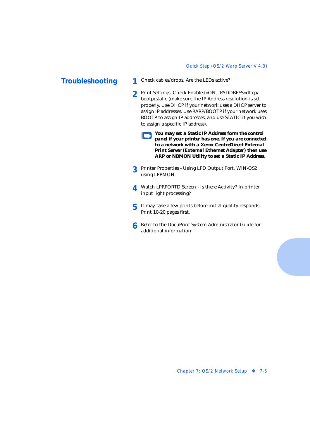- <span id="page-100-0"></span>**Troubleshooting** 1 Check cables/drops. Are the LEDs active?
	- **2** Print Settings. Check Enabled=ON, IPADDRESS=dhcp/ bootp/static (make sure the IP Address resolution is set properly. Use DHCP if your network uses a DHCP server to assign IP addresses. Use RARP/BOOTP if your network uses BOOTP to assign IP addresses, and use STATIC if you wish to assign a specific IP address).
		- *You may set a Static IP Address form the control panel if your printer has one. If you are connected to a network with a Xerox CentreDirect External Print Server (External Ethernet Adapter) then use ARP or NBMON Utility to set a Static IP Address.*
	- **3** Printer Properties Using LPD Output Port. WIN-OS2 using LPRMON.
	- **4** Watch LPRPORTD Screen Is there Activity? In printer input light processing?
	- **5** It may take a few prints before initial quality responds. Print 10-20 pages first.
	- **6** Refer to the DocuPrint System Administrator Guide for additional information.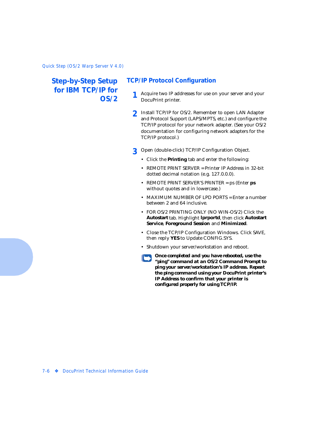## <span id="page-101-0"></span>**Step-by-Step Setup for IBM TCP/IP for OS/2**

### **TCP/IP Protocol Configuration**

- **1** Acquire two IP addresses for use on your server and your DocuPrint printer.
- **2** Install TCP/IP for OS/2. Remember to open LAN Adapter and Protocol Support (LAPS/MPTS, etc.) and configure the TCP/IP protocol for your network adapter. (See your OS/2 documentation for configuring network adapters for the TCP/IP protocol.)
- **3** Open (double-click) TCP/IP Configuration Object.
	- Click the **Printing** tab and enter the following:
	- REMOTE PRINT SERVER = Printer IP Address in 32-bit dotted decimal notation (e.g. 127.0.0.0).
	- REMOTE PRINT SERVER'S PRINTER = ps (Enter **ps** without quotes and in lowercase.)
	- MAXIMUM NUMBER OF LPD PORTS = Enter a number between 2 and 64 inclusive.
	- FOR OS/2 PRINTING ONLY (NO WIN-OS/2) Click the **Autostart** tab. Highlight **lprportd**, then click **Autostart Service**, **Foreground Session** and **Minimized**.
	- Close the TCP/IP Configuration Windows. Click SAVE, then reply **YES** to Update CONFIG.SYS.
	- Shutdown your server/workstation and reboot.
		- *Once completed and you have rebooted, use the "ping" command at an OS/2 Command Prompt to ping your server/workstation's IP address. Repeat the ping command using your DocuPrint printer's IP Address to confirm that your printer is configured properly for using TCP/IP.*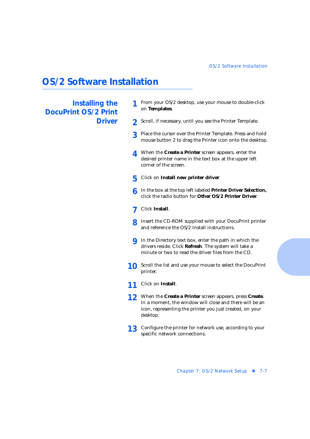# <span id="page-102-0"></span>**OS/2 Software Installation**

## **Installing the DocuPrint OS/2 Print Driver**

- **1** From your OS/2 desktop, use your mouse to double-click on **Templates**.
- **2** Scroll, if necessary, until you see the Printer Template.
- **3** Place the cursor over the Printer Template. Press and hold mouse button 2 to drag the Printer icon onto the desktop.
- **4** When the **Create a Printer** screen appears, enter the desired printer name in the text box at the upper left corner of the screen.
- **5** Click on **Install new printer driver**.
- **6** In the box at the top left labeled **Printer Driver Selection,** click the radio button for **Other OS/2 Printer Driver**.
- **7** Click **Install**.
- **8** Insert the CD-ROM supplied with your DocuPrint printer and reference the OS/2 Install instructions.
- **9** In the Directory text box, enter the path in which the drivers reside. Click **Refresh**. The system will take a minute or two to read the driver files from the CD.
- **10** Scroll the list and use your mouse to select the DocuPrint printer.
- **11** Click on **Install**.
- **12** When the **Create a Printer** screen appears, press **Create**. In a moment, the window will close and there will be an icon, representing the printer you just created, on your desktop.
- **13** Configure the printer for network use, according to your specific network connections.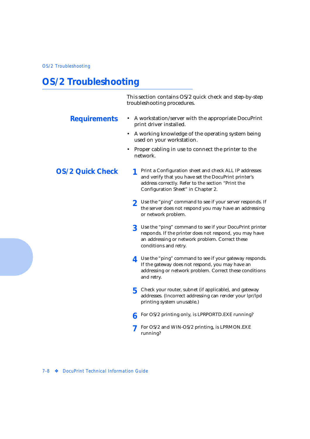# <span id="page-103-0"></span>**OS/2 Troubleshooting**

This section contains OS/2 quick check and step-by-step troubleshooting procedures.

- **Requirements** A workstation/server with the appropriate DocuPrint print driver installed.
	- A working knowledge of the operating system being used on your workstation.
	- Proper cabling in use to connect the printer to the network.

### **OS/2 Quick Check** 1 Print a Configuration sheet and check ALL IP addresses and verify that you have set the DocuPrint printer's address correctly. Refer to the section "Print the Configuration Sheet" in Chapter 2.

- **2** Use the "ping" command to see if your server responds. If the server does not respond you may have an addressing or network problem.
- **3** Use the "ping" command to see if your DocuPrint printer responds. If the printer does not respond, you may have an addressing or network problem. Correct these conditions and retry.
- **4** Use the "ping" command to see if your gateway responds. If the gateway does not respond, you may have an addressing or network problem. Correct these conditions and retry.
- **5** Check your router, subnet (if applicable), and gateway addresses. (Incorrect addressing can render your lpr/lpd printing system unusable.)
- **6** For OS/2 printing only, is LPRPORTD.EXE running?
- **7** For OS/2 and WIN-OS/2 printing, is LPRMON.EXE running?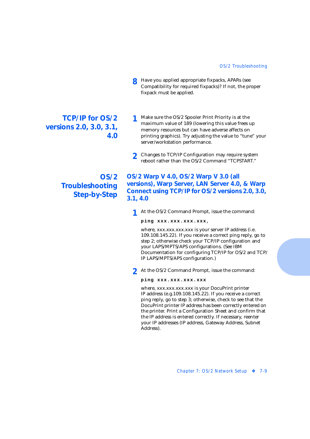**8** Have you applied appropriate fixpacks, APARs (see Compatibility for required fixpacks)? If not, the proper fixpack must be applied.

### <span id="page-104-0"></span>**TCP/IP for OS/2 versions 2.0, 3.0, 3.1, 4.0**

- **1** Make sure the OS/2 Spooler Print Priority is at the maximum value of 189 (lowering this value frees up memory resources but can have adverse affects on printing graphics). Try adjusting the value to "tune" your server/workstation performance.
- **2** Changes to TCP/IP Configuration may require system reboot rather than the OS/2 Command "TCPSTART."

## **OS/2 Troubleshooting Step-by-Step**

**OS/2 Warp V 4.0, OS/2 Warp V 3.0 (all versions), Warp Server, LAN Server 4.0, & Warp Connect using TCP/IP for OS/2 versions 2.0, 3.0, 3.1, 4.0**

**1** At the OS/2 Command Prompt, issue the command:

#### **ping xxx.xxx.xxx.xxx**,

where, xxx.xxx.xxx.xxx is your server IP address (i.e. 109.108.145.22). If you receive a correct ping reply, go to step 2; otherwise check your TCP/IP configuration and your LAPS/MPTS/APS configurations. (See IBM Documentation for configuring TCP/IP for OS/2 and TCP/ IP LAPS/MPTS/APS configuration.)

**2** At the OS/2 Command Prompt, issue the command:

#### **ping xxx.xxx.xxx.xxx**

where, xxx.xxx.xxx.xxx is your DocuPrint printer IP address (e.g.109.108.145.22). If you receive a correct ping reply, go to step 3; otherwise, check to see that the DocuPrint printer IP address has been correctly entered on the printer. Print a Configuration Sheet and confirm that the IP address is entered correctly. If necessary, reenter your IP addresses (IP address, Gateway Address, Subnet Address).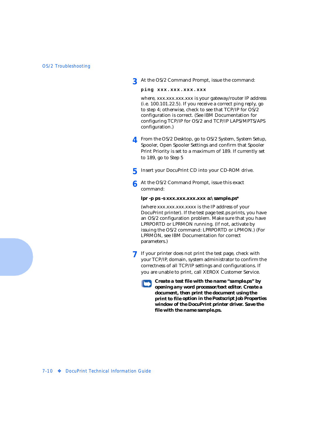**3** At the OS/2 Command Prompt, issue the command:

```
ping xxx.xxx.xxx.xxx
```
where, xxx.xxx.xxx.xxx is your gateway/router IP address (i.e. 100.101.22.5). If you receive a correct ping reply, go to step 4; otherwise, check to see that TCP/IP for OS/2 configuration is correct. (See IBM Documentation for configuring TCP/IP for OS/2 and TCP/IP LAPS/MPTS/APS configuration.)

- **4** From the OS/2 Desktop, go to OS/2 System, System Setup, Spooler, Open Spooler Settings and confirm that Spooler Print Priority is set to a maximum of 189. If currently set to 189, go to Step 5
- **5** Insert your DocuPrint CD into your CD-ROM drive.
- **6** At the OS/2 Command Prompt, issue this exact command:

#### **lpr -p ps -s xxx.xxx.xxx.xxx a:\sample.ps\***

(where xxx.xxx.xxx.xxxx is the IP address of your DocuPrint printer). If the test page test.ps prints, you have an OS/2 configuration problem. Make sure that you have LPRPORTD or LPRMON running. (If not, activate by issuing the OS/2 command: LPRPORTD or LPMON.) (For LPRMON, see IBM Documentation for correct parameters.)

- **7** If your printer does not print the test page, check with your TCP/IP, domain, system administrator to confirm the correctness of all TCP/IP settings and configurations. If you are unable to print, call XEROX Customer Service.
	- *Create a test file with the name "sample.ps" by opening any word processor/text editor. Create a document, then print the document using the*  **print to file** *option in the Postscript Job Properties window of the DocuPrint printer driver. Save the file with the name* **sample.ps***.*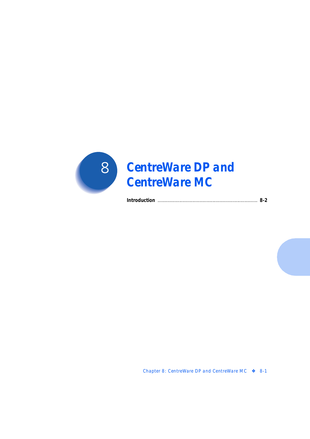

*Introduction [.....................................................................](#page-107-0) 8-2*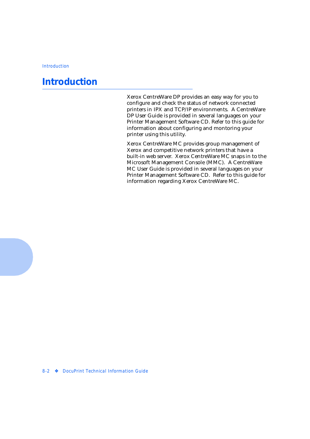# <span id="page-107-0"></span>**Introduction**

Xerox CentreWare DP provides an easy way for you to configure and check the status of network connected printers in IPX and TCP/IP environments. A CentreWare DP User Guide is provided in several languages on your Printer Management Software CD. Refer to this guide for information about configuring and montoring your printer using this utility.

Xerox CentreWare MC provides group management of Xerox and competitive network printers that have a built-in web server. Xerox CentreWare MC snaps in to the Microsoft Management Console (MMC). A CentreWare MC User Guide is provided in several languages on your Printer Management Software CD. Refer to this guide for information regarding Xerox CentreWare MC.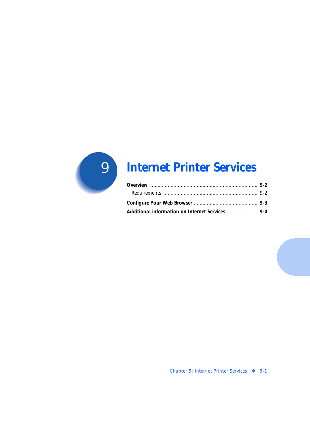

# **Internet Printer Services**

| Additional information on Internet Services  9-4 |  |
|--------------------------------------------------|--|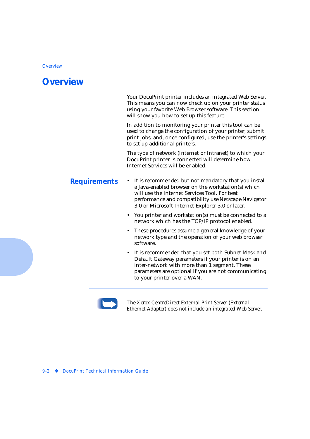### <span id="page-109-0"></span>**Overview**

Your DocuPrint printer includes an integrated Web Server. This means you can now check up on your printer status using your favorite Web Browser software. This section will show you how to set up this feature.

In addition to monitoring your printer this tool can be used to change the configuration of your printer, submit print jobs, and, once configured, use the printer's settings to set up additional printers.

The type of network (Internet or Intranet) to which your DocuPrint printer is connected will determine how Internet Services will be enabled.

- **Requirements** It is recommended but not mandatory that you install a Java-enabled browser on the workstation(s) which will use the Internet Services Tool. For best performance and compatibility use Netscape Navigator 3.0 or Microsoft Internet Explorer 3.0 or later.
	- You printer and workstation(s) must be connected to a network which has the TCP/IP protocol enabled.
	- These procedures assume a general knowledge of your network type and the operation of your web browser software.
	- It is recommended that you set both Subnet Mask and Default Gateway parameters if your printer is on an inter-network with more than 1 segment. These parameters are optional if you are not communicating to your printer over a WAN.



*The Xerox CentreDirect External Print Server (External Ethernet Adapter) does not include an integrated Web Server.*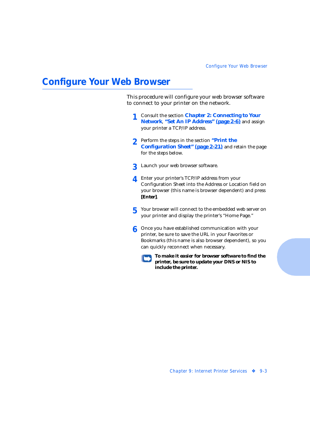### <span id="page-110-0"></span>**Configure Your Web Browser**

This procedure will configure your web browser software to connect to your printer on the network.

- **1** Consult the section *[Chapter 2: Connecting to Your](#page-14-0)  [Network](#page-14-0)*, *["Set An IP Address" \(page 2-6](#page-19-0))* and assign your printer a TCP/IP address.
- **2** Perform the steps in the section *["Print the](#page-34-0)  [Configuration Sheet" \(page 2-21](#page-34-0))* and retain the page for the steps below.
- **3** Launch your web browser software.
- **4** Enter your printer's TCP/IP address from your Configuration Sheet into the Address or Location field on your browser (this name is browser dependent) and press **[Enter]**.
- **5** Your browser will connect to the embedded web server on your printer and display the printer's "Home Page."
- **6** Once you have established communication with your printer, be sure to save the URL in your Favorites or Bookmarks (this name is also browser dependent), so you can quickly reconnect when necessary.
	- *To make it easier for browser software to find the printer, be sure to update your DNS or NIS to include the printer.*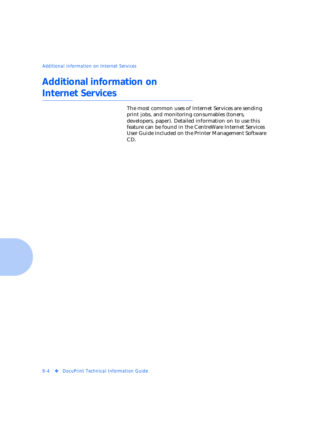### <span id="page-111-0"></span>**Additional information on Internet Services**

The most common uses of Internet Services are sending print jobs, and monitoring consumables (toners, developers, paper). Detailed information on to use this feature can be found in the CentreWare Internet Services User Guide included on the Printer Management Software CD.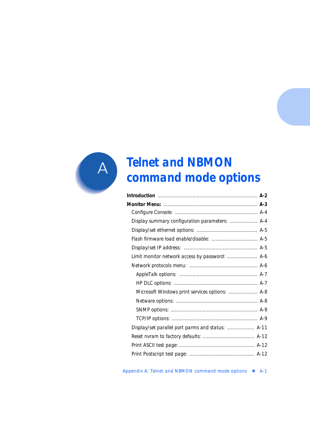

# **Telnet and NBMON** command mode options

| Display summary configuration parameters:  A-4    |  |
|---------------------------------------------------|--|
|                                                   |  |
| Flash firmware load enable/disable:  A-5          |  |
|                                                   |  |
| Limit monitor network access by password:  A-6    |  |
|                                                   |  |
|                                                   |  |
|                                                   |  |
| Microsoft Windows print services options:  A-8    |  |
|                                                   |  |
|                                                   |  |
|                                                   |  |
| Display/set parallel port parms and status:  A-11 |  |
|                                                   |  |
|                                                   |  |
|                                                   |  |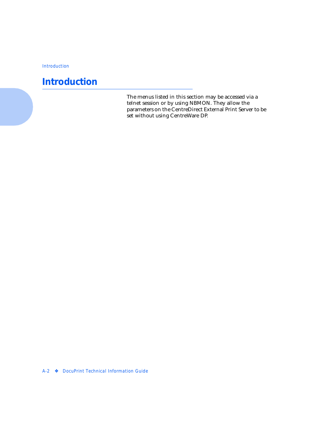### <span id="page-113-0"></span>**Introduction**

The menus listed in this section may be accessed via a telnet session or by using NBMON. They allow the parameters on the CentreDirect External Print Server to be set without using CentreWare DP.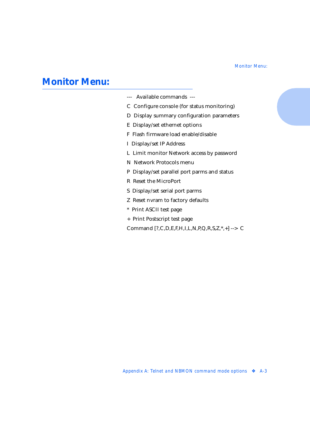- <span id="page-114-0"></span>--- Available commands ---
- C Configure console (for status monitoring)
- D Display summary configuration parameters
- E Display/set ethernet options
- F Flash firmware load enable/disable
- I Display/set IP Address
- L Limit monitor Network access by password
- N Network Protocols menu
- P Display/set parallel port parms and status
- R Reset the MicroPort
- S Display/set serial port parms
- Z Reset nvram to factory defaults
- \* Print ASCII test page
- + Print Postscript test page
- Command [?,C,D,E,F,H,I,L,N,P,Q,R,S,Z,\*,+] --> C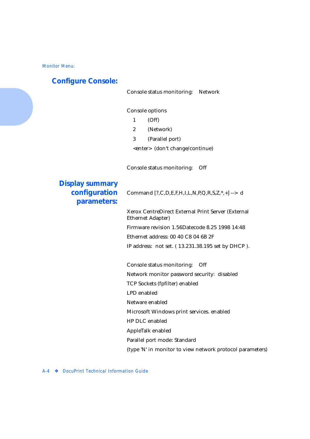#### <span id="page-115-0"></span>**Configure Console:**

Console status monitoring: Network

#### Console options

- 1 (Off)
- 2 (Network)
- 3 (Parallel port)

<enter> (don't change/continue)

Console status monitoring: Off

#### **Display summary configuration parameters:**

Command  $[?,C,D,E,F,H,I,L,N,P,Q,R,S,Z,*,+] \rightarrow d$ 

Xerox CentreDirect External Print Server (External Ethernet Adapter)

Firmware revision 1.56Datecode 8.25 1998 14:48

Ethernet address: 00 40 C8 04 6B 2F

IP address: not set. ( 13.231.38.195 set by DHCP ).

Console status monitoring: Off Network monitor password security: disabled TCP Sockets (fpfilter) enabled LPD enabled Netware enabled Microsoft Windows print services. enabled HP DLC enabled AppleTalk enabled Parallel port mode: Standard (type 'N' in monitor to view network protocol parameters)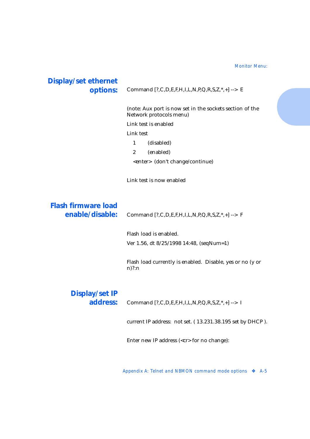<span id="page-116-0"></span>

| <b>Display/set ethernet</b><br>options:       | Command [?, C, D, E, F, H, I, L, N, P, Q, R, S, Z, *, +] --> E                      |
|-----------------------------------------------|-------------------------------------------------------------------------------------|
|                                               | (note: Aux port is now set in the sockets section of the<br>Network protocols menu) |
|                                               | Link test is enabled                                                                |
|                                               | Link test                                                                           |
|                                               | (disabled)<br>$\mathbf{1}$                                                          |
|                                               | (enabled)<br>$\mathbf{2}^{\prime}$                                                  |
|                                               | <enter> (don't change/continue)</enter>                                             |
|                                               | Link test is now enabled                                                            |
| <b>Flash firmware load</b><br>enable/disable: | Command [?, C, D, E, F, H, I, L, N, P, Q, R, S, Z, *, +] --> F                      |
|                                               | Flash load is enabled.                                                              |
|                                               | Ver 1.56, dt 8/25/1998 14:48, (seqNum=1)                                            |
|                                               | Flash load currently is enabled. Disable, yes or no (y or<br>$n$ ?:n                |
| <b>Display/set IP</b>                         |                                                                                     |
| address:                                      | Command [?, C, D, E, F, H, I, L, N, P, Q, R, S, Z, *, +] --> I                      |
|                                               | current IP address: not set. (13.231.38.195 set by DHCP).                           |
|                                               | Enter new IP address ( <cr> for no change):</cr>                                    |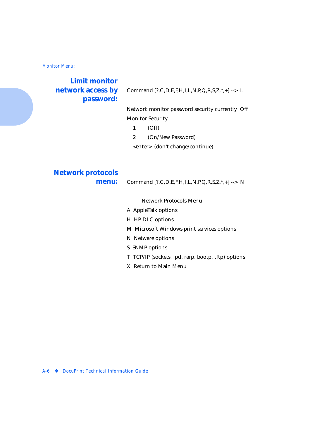### <span id="page-117-0"></span>**Limit monitor network access by password:**

Command [?,C,D,E,F,H,I,L,N,P,Q,R,S,Z,\*,+] --> L

Network monitor password security currently Off Monitor Security

- 1 (Off)
- 2 (On/New Password)

<enter> (don't change/continue)

## **Network protocols**

**menu:** Command [?,C,D,E,F,H,I,L,N,P,Q,R,S,Z,\*,+] --> N

Network Protocols Menu

- A AppleTalk options
- H HP DLC options
- M Microsoft Windows print services options
- N Netware options
- S SNMP options
- T TCP/IP (sockets, lpd, rarp, bootp, tftp) options
- X Return to Main Menu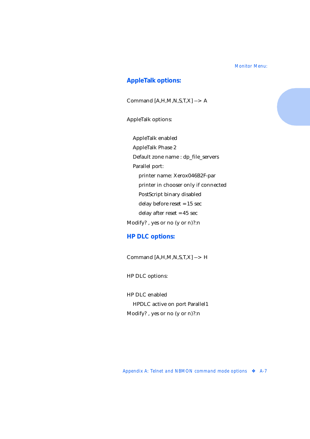#### <span id="page-118-0"></span>**AppleTalk options:**

Command [A,H,M,N,S,T,X] --> A

AppleTalk options:

 AppleTalk enabled AppleTalk Phase 2 Default zone name : dp\_file\_servers Parallel port: printer name: Xerox046B2F-par printer in chooser only if connected PostScript binary disabled delay before reset = 15 sec delay after reset = 45 sec Modify? , yes or no (y or n)?:n

#### **HP DLC options:**

Command [A,H,M,N,S,T,X] --> H

HP DLC options:

HP DLC enabled HPDLC active on port Parallel1 Modify? , yes or no (y or n)?:n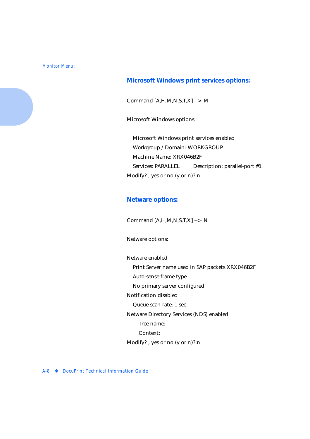#### <span id="page-119-0"></span>**Microsoft Windows print services options:**

Command [A,H,M,N,S,T,X] --> M

Microsoft Windows options:

 Microsoft Windows print services enabled Workgroup / Domain: WORKGROUP Machine Name: XRX046B2F Services: PARALLEL Description: parallel-port #1 Modify? , yes or no (y or n)?:n

#### **Netware options:**

Command [A,H,M,N,S,T,X] --> N

Netware options:

Netware enabled

Print Server name used in SAP packets XRX046B2F

Auto-sense frame type

No primary server configured

Notification disabled

Queue scan rate: 1 sec

Netware Directory Services (NDS) enabled

Tree name:

Context:

Modify? , yes or no (y or n)?:n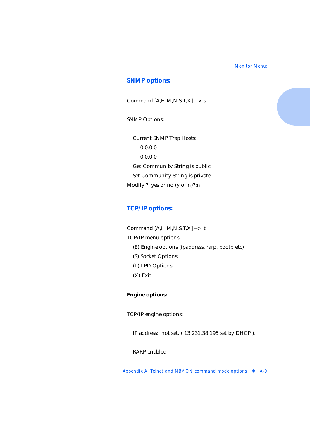#### <span id="page-120-0"></span>**SNMP options:**

Command  $[A,H,M,N,S,T,X] \rightarrow s$ 

SNMP Options:

 Current SNMP Trap Hosts: 0.0.0.0 0.0.0.0 Get Community String is public Set Community String is private Modify ?, yes or no (y or n)?:n

#### **TCP/IP options:**

Command  $[A,H,M,N,S,T,X] \rightarrow t$ TCP/IP menu options (E) Engine options (ipaddress, rarp, bootp etc) (S) Socket Options (L) LPD Options (X) Exit

#### **Engine options:**

TCP/IP engine options:

IP address: not set. ( 13.231.38.195 set by DHCP ).

RARP enabled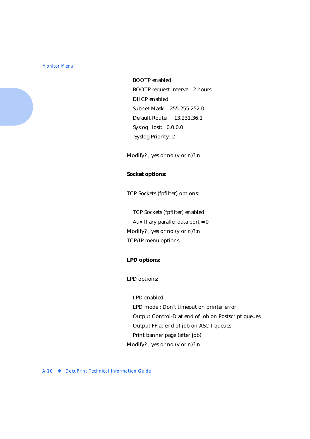BOOTP enabled BOOTP request interval: 2 hours. DHCP enabled Subnet Mask: 255.255.252.0 Default Router: 13.231.36.1 Syslog Host: 0.0.0.0 Syslog Priority: 2

Modify? , yes or no (y or n)?:n

#### **Socket options:**

TCP Sockets (fpfilter) options:

 TCP Sockets (fpfilter) enabled Auxilliary parallel data port  $= 0$ Modify? , yes or no (y or n)?:n TCP/IP menu options

#### **LPD options:**

LPD options:

LPD enabled

 LPD mode : Don't timeout on printer error Output Control-D at end of job on Postscript queues Output FF at end of job on ASCII queues Print banner page (after job) Modify? , yes or no (y or n)?:n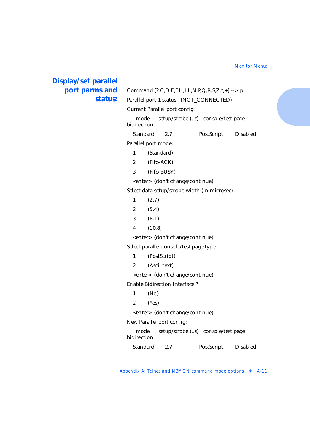### <span id="page-122-0"></span>**Display/set parallel port parms and status:**

| Parallel port 1 status: (NOT_CONNECTED)      |                                         |                                     |                 |  |
|----------------------------------------------|-----------------------------------------|-------------------------------------|-----------------|--|
|                                              | <b>Current Parallel port config:</b>    |                                     |                 |  |
| mode<br>bidirection                          |                                         | setup/strobe (us) console/test page |                 |  |
| Standard                                     | 2.7                                     | PostScript                          | <b>Disabled</b> |  |
|                                              | Parallel port mode:                     |                                     |                 |  |
| 1                                            | (Standard)                              |                                     |                 |  |
| $\overline{2}$                               | (Fifo-ACK)                              |                                     |                 |  |
| 3                                            | (Fifo-BUSY)                             |                                     |                 |  |
| <enter> (don't change/continue)</enter>      |                                         |                                     |                 |  |
| Select data-setup/strobe-width (in microsec) |                                         |                                     |                 |  |
| 1                                            | (2.7)                                   |                                     |                 |  |
| $\mathbf{2}$                                 | (5.4)                                   |                                     |                 |  |
| 3                                            | (8.1)                                   |                                     |                 |  |
| 4                                            | (10.8)                                  |                                     |                 |  |
| <enter> (don't change/continue)</enter>      |                                         |                                     |                 |  |
| Select parallel console/test page type       |                                         |                                     |                 |  |
| 1                                            | (PostScript)                            |                                     |                 |  |
| 2                                            | (Ascii text)                            |                                     |                 |  |
| <enter> (don't change/continue)</enter>      |                                         |                                     |                 |  |
| <b>Enable Bidirection Interface?</b>         |                                         |                                     |                 |  |
| $\mathbf{1}$                                 | (No)                                    |                                     |                 |  |
| $\overline{2}$                               | (Yes)                                   |                                     |                 |  |
|                                              | <enter> (don't change/continue)</enter> |                                     |                 |  |
| New Parallel port config:                    |                                         |                                     |                 |  |
| mode<br>bidirection                          |                                         | setup/strobe (us) console/test page |                 |  |

Standard 2.7 PostScript Disabled